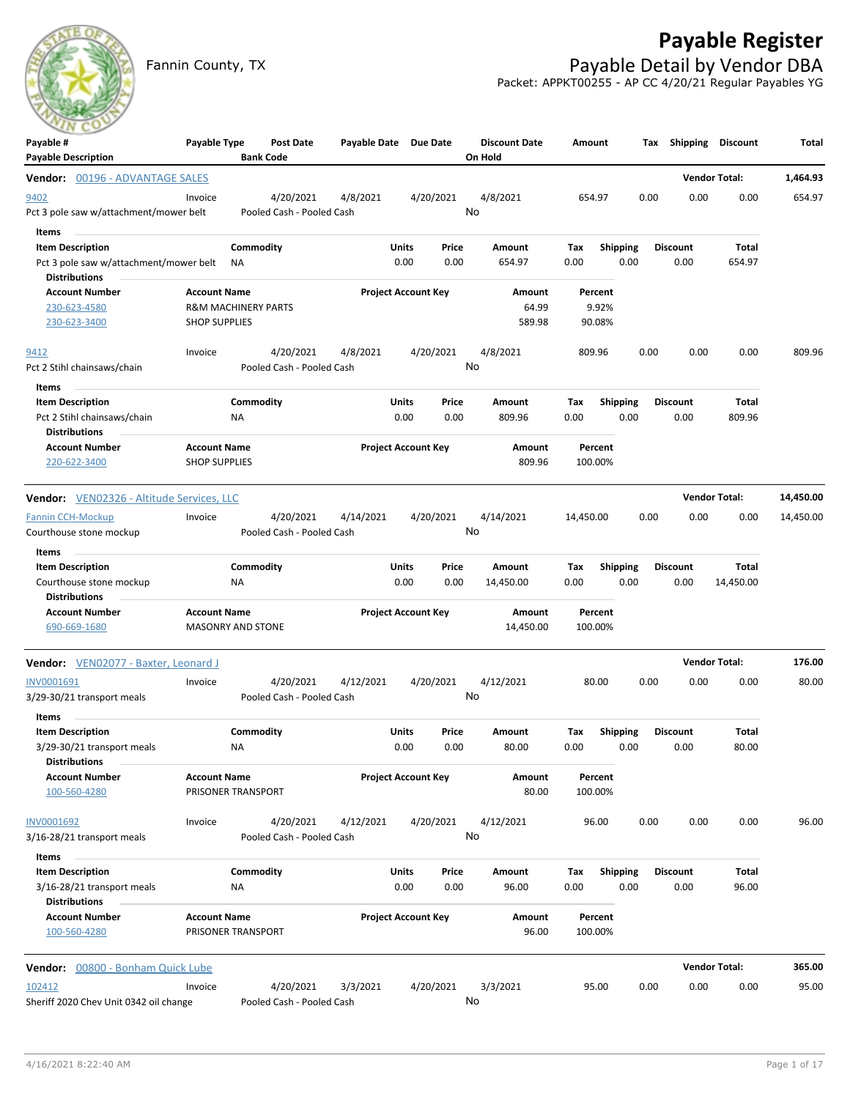# **Payable Register**



Fannin County, TX **Payable Detail by Vendor DBA** Packet: APPKT00255 - AP CC 4/20/21 Regular Payables YG

| <u>.</u><br>Payable #<br><b>Payable Description</b>                                    | Payable Type                                                                  | <b>Bank Code</b> | <b>Post Date</b>                       | Payable Date Due Date |                            |               | <b>Discount Date</b><br>On Hold | Amount                     |                         |      | Tax Shipping Discount   |                           | Total     |
|----------------------------------------------------------------------------------------|-------------------------------------------------------------------------------|------------------|----------------------------------------|-----------------------|----------------------------|---------------|---------------------------------|----------------------------|-------------------------|------|-------------------------|---------------------------|-----------|
| Vendor: 00196 - ADVANTAGE SALES                                                        |                                                                               |                  |                                        |                       |                            |               |                                 |                            |                         |      |                         | <b>Vendor Total:</b>      | 1,464.93  |
| 9402<br>Pct 3 pole saw w/attachment/mower belt                                         | Invoice                                                                       |                  | 4/20/2021<br>Pooled Cash - Pooled Cash | 4/8/2021              |                            | 4/20/2021     | 4/8/2021<br>No                  | 654.97                     |                         | 0.00 | 0.00                    | 0.00                      | 654.97    |
| Items<br><b>Item Description</b><br>Pct 3 pole saw w/attachment/mower belt             |                                                                               | Commodity<br>NA  |                                        |                       | Units<br>0.00              | Price<br>0.00 | Amount<br>654.97                | Tax<br>0.00                | <b>Shipping</b><br>0.00 |      | <b>Discount</b><br>0.00 | Total<br>654.97           |           |
| <b>Distributions</b><br><b>Account Number</b><br>230-623-4580<br>230-623-3400          | <b>Account Name</b><br><b>R&amp;M MACHINERY PARTS</b><br><b>SHOP SUPPLIES</b> |                  |                                        |                       | <b>Project Account Key</b> |               | Amount<br>64.99<br>589.98       | Percent<br>9.92%<br>90.08% |                         |      |                         |                           |           |
| 9412<br>Pct 2 Stihl chainsaws/chain                                                    | Invoice                                                                       |                  | 4/20/2021<br>Pooled Cash - Pooled Cash | 4/8/2021              |                            | 4/20/2021     | 4/8/2021<br>No                  | 809.96                     |                         | 0.00 | 0.00                    | 0.00                      | 809.96    |
| Items<br><b>Item Description</b><br>Pct 2 Stihl chainsaws/chain                        |                                                                               | Commodity<br>ΝA  |                                        |                       | Units<br>0.00              | Price<br>0.00 | Amount<br>809.96                | Tax<br>0.00                | <b>Shipping</b><br>0.00 |      | <b>Discount</b><br>0.00 | Total<br>809.96           |           |
| <b>Distributions</b><br><b>Account Number</b><br>220-622-3400                          | <b>Account Name</b><br><b>SHOP SUPPLIES</b>                                   |                  |                                        |                       | <b>Project Account Key</b> |               | Amount<br>809.96                | Percent<br>100.00%         |                         |      |                         |                           |           |
| Vendor: VEN02326 - Altitude Services, LLC                                              |                                                                               |                  |                                        |                       |                            |               |                                 |                            |                         |      |                         | <b>Vendor Total:</b>      | 14,450.00 |
| <b>Fannin CCH-Mockup</b><br>Courthouse stone mockup                                    | Invoice                                                                       |                  | 4/20/2021<br>Pooled Cash - Pooled Cash | 4/14/2021             |                            | 4/20/2021     | 4/14/2021<br>No                 | 14,450.00                  |                         | 0.00 | 0.00                    | 0.00                      | 14,450.00 |
| Items<br><b>Item Description</b><br>Courthouse stone mockup<br><b>Distributions</b>    |                                                                               | Commodity<br>ΝA  |                                        |                       | Units<br>0.00              | Price<br>0.00 | Amount<br>14,450.00             | Tax<br>0.00                | <b>Shipping</b><br>0.00 |      | <b>Discount</b><br>0.00 | <b>Total</b><br>14,450.00 |           |
| <b>Account Number</b><br>690-669-1680                                                  | <b>Account Name</b><br><b>MASONRY AND STONE</b>                               |                  |                                        |                       | <b>Project Account Key</b> |               | Amount<br>14,450.00             | Percent<br>100.00%         |                         |      |                         |                           |           |
| Vendor: VEN02077 - Baxter, Leonard J                                                   |                                                                               |                  |                                        |                       |                            |               |                                 |                            |                         |      |                         | <b>Vendor Total:</b>      | 176.00    |
| INV0001691<br>3/29-30/21 transport meals                                               | Invoice                                                                       |                  | 4/20/2021<br>Pooled Cash - Pooled Cash | 4/12/2021             |                            | 4/20/2021     | 4/12/2021<br>No                 | 80.00                      |                         | 0.00 | 0.00                    | 0.00                      | 80.00     |
| Items<br><b>Item Description</b><br>3/29-30/21 transport meals<br><b>Distributions</b> |                                                                               | Commodity<br>ΝA  |                                        |                       | Units<br>0.00              | Price<br>0.00 | <b>Amount</b><br>80.00          | Tax<br>0.00                | <b>Shipping</b><br>0.00 |      | <b>Discount</b><br>0.00 | <b>Total</b><br>80.00     |           |
| <b>Account Number</b><br>100-560-4280                                                  | <b>Account Name</b><br>PRISONER TRANSPORT                                     |                  |                                        |                       | <b>Project Account Key</b> |               | Amount<br>80.00                 | Percent<br>100.00%         |                         |      |                         |                           |           |
| INV0001692<br>3/16-28/21 transport meals                                               | Invoice                                                                       |                  | 4/20/2021<br>Pooled Cash - Pooled Cash | 4/12/2021             |                            | 4/20/2021     | 4/12/2021<br>No                 | 96.00                      |                         | 0.00 | 0.00                    | 0.00                      | 96.00     |
| Items<br><b>Item Description</b><br>3/16-28/21 transport meals<br><b>Distributions</b> |                                                                               | Commodity<br>ΝA  |                                        |                       | <b>Units</b><br>0.00       | Price<br>0.00 | Amount<br>96.00                 | Tax<br>0.00                | <b>Shipping</b><br>0.00 |      | <b>Discount</b><br>0.00 | Total<br>96.00            |           |
| <b>Account Number</b><br>100-560-4280                                                  | <b>Account Name</b><br>PRISONER TRANSPORT                                     |                  |                                        |                       | <b>Project Account Key</b> |               | Amount<br>96.00                 | Percent<br>100.00%         |                         |      |                         |                           |           |
| Vendor: 00800 - Bonham Quick Lube                                                      |                                                                               |                  |                                        |                       |                            |               |                                 |                            |                         |      |                         | <b>Vendor Total:</b>      | 365.00    |
| 102412<br>Sheriff 2020 Chev Unit 0342 oil change                                       | Invoice                                                                       |                  | 4/20/2021<br>Pooled Cash - Pooled Cash | 3/3/2021              |                            | 4/20/2021     | 3/3/2021<br>No                  | 95.00                      |                         | 0.00 | 0.00                    | 0.00                      | 95.00     |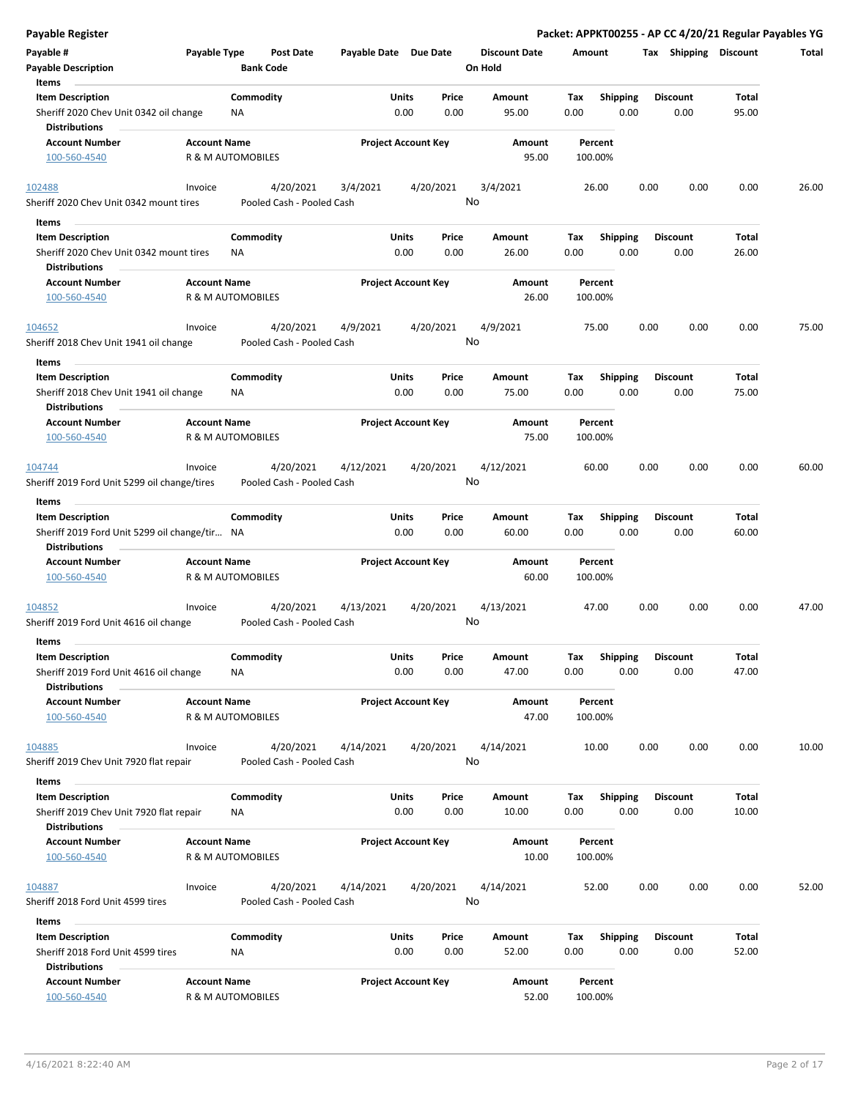| <b>Payable Register</b>                                               |                     |                           |                       |                                |    |                      |         |                 |      |                         |       | Packet: APPKT00255 - AP CC 4/20/21 Regular Payables YG |
|-----------------------------------------------------------------------|---------------------|---------------------------|-----------------------|--------------------------------|----|----------------------|---------|-----------------|------|-------------------------|-------|--------------------------------------------------------|
| Payable #                                                             | Payable Type        | Post Date                 | Payable Date Due Date |                                |    | <b>Discount Date</b> | Amount  |                 |      | Tax Shipping Discount   |       | Total                                                  |
| <b>Payable Description</b>                                            |                     | <b>Bank Code</b>          |                       |                                |    | On Hold              |         |                 |      |                         |       |                                                        |
| Items                                                                 |                     |                           |                       |                                |    |                      |         |                 |      |                         |       |                                                        |
| <b>Item Description</b>                                               |                     | Commodity                 |                       | Units<br>Price                 |    | <b>Amount</b>        | Tax     | <b>Shipping</b> |      | <b>Discount</b>         | Total |                                                        |
| Sheriff 2020 Chev Unit 0342 oil change                                |                     | ΝA                        |                       | 0.00<br>0.00                   |    | 95.00                | 0.00    | 0.00            |      | 0.00                    | 95.00 |                                                        |
| <b>Distributions</b>                                                  |                     |                           |                       |                                |    |                      |         |                 |      |                         |       |                                                        |
| <b>Account Number</b>                                                 | <b>Account Name</b> |                           |                       | <b>Project Account Key</b>     |    | Amount               | Percent |                 |      |                         |       |                                                        |
| 100-560-4540                                                          |                     | R & M AUTOMOBILES         |                       |                                |    | 95.00                | 100.00% |                 |      |                         |       |                                                        |
|                                                                       | Invoice             | 4/20/2021                 | 3/4/2021              |                                |    | 3/4/2021             | 26.00   |                 | 0.00 | 0.00                    | 0.00  | 26.00                                                  |
| 102488<br>Sheriff 2020 Chev Unit 0342 mount tires                     |                     | Pooled Cash - Pooled Cash |                       | 4/20/2021                      | No |                      |         |                 |      |                         |       |                                                        |
|                                                                       |                     |                           |                       |                                |    |                      |         |                 |      |                         |       |                                                        |
| Items                                                                 |                     |                           |                       |                                |    |                      |         |                 |      |                         |       |                                                        |
| <b>Item Description</b>                                               |                     | Commodity                 |                       | Units<br>Price                 |    | Amount               | Tax     | <b>Shipping</b> |      | <b>Discount</b>         | Total |                                                        |
| Sheriff 2020 Chev Unit 0342 mount tires                               |                     | ΝA                        |                       | 0.00<br>0.00                   |    | 26.00                | 0.00    | 0.00            |      | 0.00                    | 26.00 |                                                        |
| <b>Distributions</b>                                                  |                     |                           |                       |                                |    |                      |         |                 |      |                         |       |                                                        |
| <b>Account Number</b>                                                 | <b>Account Name</b> |                           |                       | <b>Project Account Key</b>     |    | Amount               | Percent |                 |      |                         |       |                                                        |
| 100-560-4540                                                          |                     | R & M AUTOMOBILES         |                       |                                |    | 26.00                | 100.00% |                 |      |                         |       |                                                        |
| 104652                                                                | Invoice             | 4/20/2021                 | 4/9/2021              | 4/20/2021                      |    | 4/9/2021             | 75.00   |                 | 0.00 | 0.00                    | 0.00  | 75.00                                                  |
| Sheriff 2018 Chev Unit 1941 oil change                                |                     | Pooled Cash - Pooled Cash |                       |                                | No |                      |         |                 |      |                         |       |                                                        |
|                                                                       |                     |                           |                       |                                |    |                      |         |                 |      |                         |       |                                                        |
| Items                                                                 |                     |                           |                       |                                |    |                      |         |                 |      |                         |       |                                                        |
| <b>Item Description</b>                                               |                     | Commodity                 |                       | Units<br>Price                 |    | <b>Amount</b>        | Tax     | <b>Shipping</b> |      | <b>Discount</b>         | Total |                                                        |
| Sheriff 2018 Chev Unit 1941 oil change                                |                     | ΝA                        |                       | 0.00<br>0.00                   |    | 75.00                | 0.00    | 0.00            |      | 0.00                    | 75.00 |                                                        |
| <b>Distributions</b>                                                  |                     |                           |                       |                                |    |                      |         |                 |      |                         |       |                                                        |
| <b>Account Number</b>                                                 | <b>Account Name</b> |                           |                       | <b>Project Account Key</b>     |    | Amount               | Percent |                 |      |                         |       |                                                        |
| 100-560-4540                                                          |                     | R & M AUTOMOBILES         |                       |                                |    | 75.00                | 100.00% |                 |      |                         |       |                                                        |
| 104744                                                                | Invoice             | 4/20/2021                 | 4/12/2021             | 4/20/2021                      |    | 4/12/2021            | 60.00   |                 | 0.00 | 0.00                    | 0.00  | 60.00                                                  |
| Sheriff 2019 Ford Unit 5299 oil change/tires                          |                     | Pooled Cash - Pooled Cash |                       |                                | No |                      |         |                 |      |                         |       |                                                        |
|                                                                       |                     |                           |                       |                                |    |                      |         |                 |      |                         |       |                                                        |
| Items                                                                 |                     |                           |                       |                                |    |                      |         |                 |      |                         |       |                                                        |
| <b>Item Description</b>                                               |                     | Commodity                 |                       | Units<br>Price<br>0.00<br>0.00 |    | Amount<br>60.00      | Tax     | <b>Shipping</b> |      | <b>Discount</b><br>0.00 | Total |                                                        |
| Sheriff 2019 Ford Unit 5299 oil change/tir NA<br><b>Distributions</b> |                     |                           |                       |                                |    |                      | 0.00    | 0.00            |      |                         | 60.00 |                                                        |
| <b>Account Number</b>                                                 | <b>Account Name</b> |                           |                       | <b>Project Account Key</b>     |    | Amount               | Percent |                 |      |                         |       |                                                        |
| 100-560-4540                                                          |                     | R & M AUTOMOBILES         |                       |                                |    | 60.00                | 100.00% |                 |      |                         |       |                                                        |
|                                                                       |                     |                           |                       |                                |    |                      |         |                 |      |                         |       |                                                        |
| 104852                                                                | Invoice             | 4/20/2021                 | 4/13/2021             | 4/20/2021                      |    | 4/13/2021            | 47.00   |                 | 0.00 | 0.00                    | 0.00  | 47.00                                                  |
| Sheriff 2019 Ford Unit 4616 oil change                                |                     | Pooled Cash - Pooled Cash |                       |                                | No |                      |         |                 |      |                         |       |                                                        |
| Items                                                                 |                     |                           |                       |                                |    |                      |         |                 |      |                         |       |                                                        |
| <b>Item Description</b>                                               |                     | Commodity                 |                       | Units<br>Price                 |    | Amount               | Tax     | Shipping        |      | <b>Discount</b>         | Total |                                                        |
| Sheriff 2019 Ford Unit 4616 oil change                                |                     | <b>NA</b>                 |                       | 0.00<br>0.00                   |    | 47.00                | 0.00    | 0.00            |      | 0.00                    | 47.00 |                                                        |
| <b>Distributions</b>                                                  |                     |                           |                       |                                |    |                      |         |                 |      |                         |       |                                                        |
| <b>Account Number</b>                                                 | <b>Account Name</b> |                           |                       | <b>Project Account Key</b>     |    | Amount               | Percent |                 |      |                         |       |                                                        |
| 100-560-4540                                                          |                     | R & M AUTOMOBILES         |                       |                                |    | 47.00                | 100.00% |                 |      |                         |       |                                                        |
|                                                                       |                     |                           |                       |                                |    |                      |         |                 |      |                         |       |                                                        |
| 104885                                                                | Invoice             | 4/20/2021                 | 4/14/2021             | 4/20/2021                      |    | 4/14/2021            | 10.00   |                 | 0.00 | 0.00                    | 0.00  | 10.00                                                  |
| Sheriff 2019 Chev Unit 7920 flat repair                               |                     | Pooled Cash - Pooled Cash |                       |                                | No |                      |         |                 |      |                         |       |                                                        |
| Items                                                                 |                     |                           |                       |                                |    |                      |         |                 |      |                         |       |                                                        |
| <b>Item Description</b>                                               |                     | Commodity                 |                       | Units<br>Price                 |    | Amount               | Tax     | <b>Shipping</b> |      | <b>Discount</b>         | Total |                                                        |
| Sheriff 2019 Chev Unit 7920 flat repair                               |                     | ΝA                        |                       | 0.00<br>0.00                   |    | 10.00                | 0.00    | 0.00            |      | 0.00                    | 10.00 |                                                        |
| <b>Distributions</b>                                                  |                     |                           |                       |                                |    |                      |         |                 |      |                         |       |                                                        |
| <b>Account Number</b>                                                 | <b>Account Name</b> |                           |                       | <b>Project Account Key</b>     |    | Amount               | Percent |                 |      |                         |       |                                                        |
| 100-560-4540                                                          |                     | R & M AUTOMOBILES         |                       |                                |    | 10.00                | 100.00% |                 |      |                         |       |                                                        |
|                                                                       |                     |                           |                       |                                |    |                      |         |                 |      |                         |       |                                                        |
| 104887                                                                | Invoice             | 4/20/2021                 | 4/14/2021             | 4/20/2021                      |    | 4/14/2021            | 52.00   |                 | 0.00 | 0.00                    | 0.00  | 52.00                                                  |
| Sheriff 2018 Ford Unit 4599 tires                                     |                     | Pooled Cash - Pooled Cash |                       |                                | No |                      |         |                 |      |                         |       |                                                        |
| Items                                                                 |                     |                           |                       |                                |    |                      |         |                 |      |                         |       |                                                        |
| <b>Item Description</b>                                               |                     | Commodity                 |                       | Units<br>Price                 |    | Amount               | Tax     | <b>Shipping</b> |      | <b>Discount</b>         | Total |                                                        |
| Sheriff 2018 Ford Unit 4599 tires                                     |                     | ΝA                        |                       | 0.00<br>0.00                   |    | 52.00                | 0.00    | 0.00            |      | 0.00                    | 52.00 |                                                        |
| <b>Distributions</b>                                                  |                     |                           |                       |                                |    |                      |         |                 |      |                         |       |                                                        |
| <b>Account Number</b>                                                 | <b>Account Name</b> |                           |                       | <b>Project Account Key</b>     |    | Amount               | Percent |                 |      |                         |       |                                                        |
| 100-560-4540                                                          |                     | R & M AUTOMOBILES         |                       |                                |    | 52.00                | 100.00% |                 |      |                         |       |                                                        |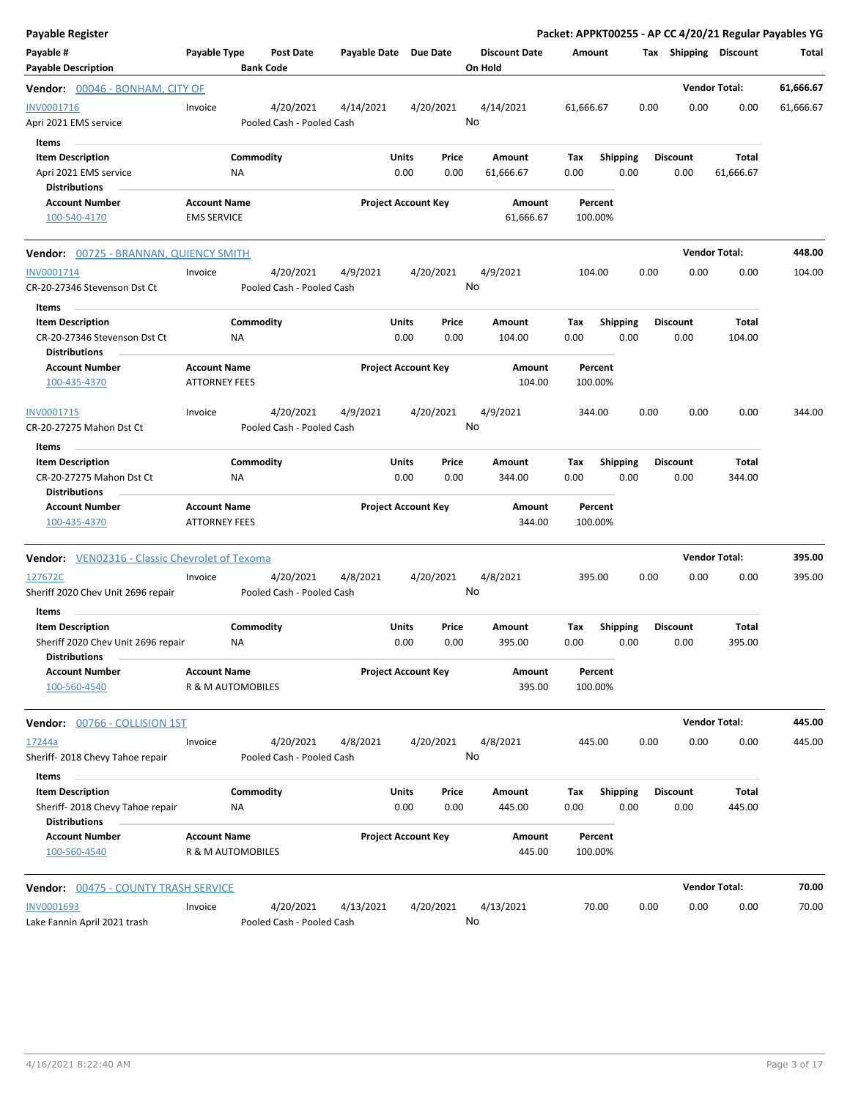| <b>Payable Register</b>                                                                     |                                             |                                        |                       |                            |               |                                 |                    |                         |      |                         |                           | Packet: APPKT00255 - AP CC 4/20/21 Regular Payables YG |
|---------------------------------------------------------------------------------------------|---------------------------------------------|----------------------------------------|-----------------------|----------------------------|---------------|---------------------------------|--------------------|-------------------------|------|-------------------------|---------------------------|--------------------------------------------------------|
| Payable #<br><b>Payable Description</b>                                                     | Payable Type                                | <b>Post Date</b><br><b>Bank Code</b>   | Payable Date Due Date |                            |               | <b>Discount Date</b><br>On Hold | Amount             |                         |      |                         | Tax Shipping Discount     | Total                                                  |
| Vendor: 00046 - BONHAM, CITY OF                                                             |                                             |                                        |                       |                            |               |                                 |                    |                         |      |                         | <b>Vendor Total:</b>      | 61,666.67                                              |
| INV0001716<br>Apri 2021 EMS service                                                         | Invoice                                     | 4/20/2021<br>Pooled Cash - Pooled Cash | 4/14/2021             | 4/20/2021                  | No            | 4/14/2021                       | 61,666.67          |                         | 0.00 | 0.00                    | 0.00                      | 61,666.67                                              |
| Items                                                                                       |                                             |                                        |                       |                            |               |                                 |                    |                         |      |                         |                           |                                                        |
| <b>Item Description</b><br>Apri 2021 EMS service<br><b>Distributions</b>                    | NA                                          | Commodity                              |                       | Units<br>0.00              | Price<br>0.00 | Amount<br>61,666.67             | Tax<br>0.00        | <b>Shipping</b><br>0.00 |      | <b>Discount</b><br>0.00 | <b>Total</b><br>61,666.67 |                                                        |
| <b>Account Number</b><br>100-540-4170                                                       | <b>Account Name</b><br><b>EMS SERVICE</b>   |                                        |                       | <b>Project Account Key</b> |               | <b>Amount</b><br>61,666.67      | Percent<br>100.00% |                         |      |                         |                           |                                                        |
| Vendor: 00725 - BRANNAN, QUIENCY SMITH                                                      |                                             |                                        |                       |                            |               |                                 |                    |                         |      |                         | <b>Vendor Total:</b>      | 448.00                                                 |
| INV0001714<br>CR-20-27346 Stevenson Dst Ct                                                  | Invoice                                     | 4/20/2021<br>Pooled Cash - Pooled Cash | 4/9/2021              | 4/20/2021                  | No            | 4/9/2021                        | 104.00             |                         | 0.00 | 0.00                    | 0.00                      | 104.00                                                 |
| Items<br><b>Item Description</b>                                                            |                                             | Commodity                              |                       | Units                      | Price         | Amount                          | Tax                | Shipping                |      | <b>Discount</b>         | <b>Total</b>              |                                                        |
| CR-20-27346 Stevenson Dst Ct<br><b>Distributions</b>                                        | NA                                          |                                        |                       | 0.00                       | 0.00          | 104.00                          | 0.00               | 0.00                    |      | 0.00                    | 104.00                    |                                                        |
| <b>Account Number</b><br>100-435-4370                                                       | <b>Account Name</b><br><b>ATTORNEY FEES</b> |                                        |                       | <b>Project Account Key</b> |               | Amount<br>104.00                | Percent<br>100.00% |                         |      |                         |                           |                                                        |
| INV0001715<br>CR-20-27275 Mahon Dst Ct                                                      | Invoice                                     | 4/20/2021<br>Pooled Cash - Pooled Cash | 4/9/2021              | 4/20/2021                  | No            | 4/9/2021                        | 344.00             |                         | 0.00 | 0.00                    | 0.00                      | 344.00                                                 |
| Items<br><b>Item Description</b><br>CR-20-27275 Mahon Dst Ct<br>Distributions               | <b>NA</b>                                   | Commodity                              |                       | Units<br>0.00              | Price<br>0.00 | Amount<br>344.00                | Tax<br>0.00        | <b>Shipping</b><br>0.00 |      | <b>Discount</b><br>0.00 | Total<br>344.00           |                                                        |
| <b>Account Number</b><br>100-435-4370                                                       | <b>Account Name</b><br><b>ATTORNEY FEES</b> |                                        |                       | <b>Project Account Key</b> |               | Amount<br>344.00                | Percent<br>100.00% |                         |      |                         |                           |                                                        |
| <b>Vendor:</b> VEN02316 - Classic Chevrolet of Texoma                                       |                                             |                                        |                       |                            |               |                                 |                    |                         |      |                         | <b>Vendor Total:</b>      | 395.00                                                 |
| 127672C<br>Sheriff 2020 Chev Unit 2696 repair                                               | Invoice                                     | 4/20/2021<br>Pooled Cash - Pooled Cash | 4/8/2021              | 4/20/2021                  | No            | 4/8/2021                        | 395.00             |                         | 0.00 | 0.00                    | 0.00                      | 395.00                                                 |
| Items<br><b>Item Description</b>                                                            |                                             | Commodity                              |                       | Units                      | Price         | Amount                          | Tax                | <b>Shipping</b>         |      | <b>Discount</b>         | <b>Total</b>              |                                                        |
| Sheriff 2020 Chev Unit 2696 repair<br><b>Distributions</b>                                  | ΝA                                          |                                        |                       | 0.00                       | 0.00          | 395.00                          | 0.00               | 0.00                    |      | 0.00                    | 395.00                    |                                                        |
| <b>Account Number</b><br>100-560-4540                                                       | <b>Account Name</b><br>R & M AUTOMOBILES    |                                        |                       | <b>Project Account Key</b> |               | Amount<br>395.00                | Percent<br>100.00% |                         |      |                         |                           |                                                        |
| Vendor: 00766 - COLLISION 1ST                                                               |                                             |                                        |                       |                            |               |                                 |                    |                         |      |                         | <b>Vendor Total:</b>      | 445.00                                                 |
| 17244a<br>Sheriff-2018 Chevy Tahoe repair                                                   | Invoice                                     | 4/20/2021<br>Pooled Cash - Pooled Cash | 4/8/2021              | 4/20/2021                  | No            | 4/8/2021                        | 445.00             |                         | 0.00 | 0.00                    | 0.00                      | 445.00                                                 |
| Items<br><b>Item Description</b><br>Sheriff-2018 Chevy Tahoe repair<br><b>Distributions</b> | <b>NA</b>                                   | Commodity                              |                       | Units<br>0.00              | Price<br>0.00 | Amount<br>445.00                | Tax<br>0.00        | Shipping<br>0.00        |      | <b>Discount</b><br>0.00 | <b>Total</b><br>445.00    |                                                        |
| <b>Account Number</b><br>100-560-4540                                                       | <b>Account Name</b><br>R & M AUTOMOBILES    |                                        |                       | <b>Project Account Key</b> |               | Amount<br>445.00                | Percent<br>100.00% |                         |      |                         |                           |                                                        |
| <b>Vendor: 00475 - COUNTY TRASH SERVICE</b>                                                 |                                             |                                        |                       |                            |               |                                 |                    |                         |      |                         | <b>Vendor Total:</b>      | 70.00                                                  |
| INV0001693<br>Lake Fannin April 2021 trash                                                  | Invoice                                     | 4/20/2021<br>Pooled Cash - Pooled Cash | 4/13/2021             | 4/20/2021                  | No            | 4/13/2021                       | 70.00              |                         | 0.00 | 0.00                    | 0.00                      | 70.00                                                  |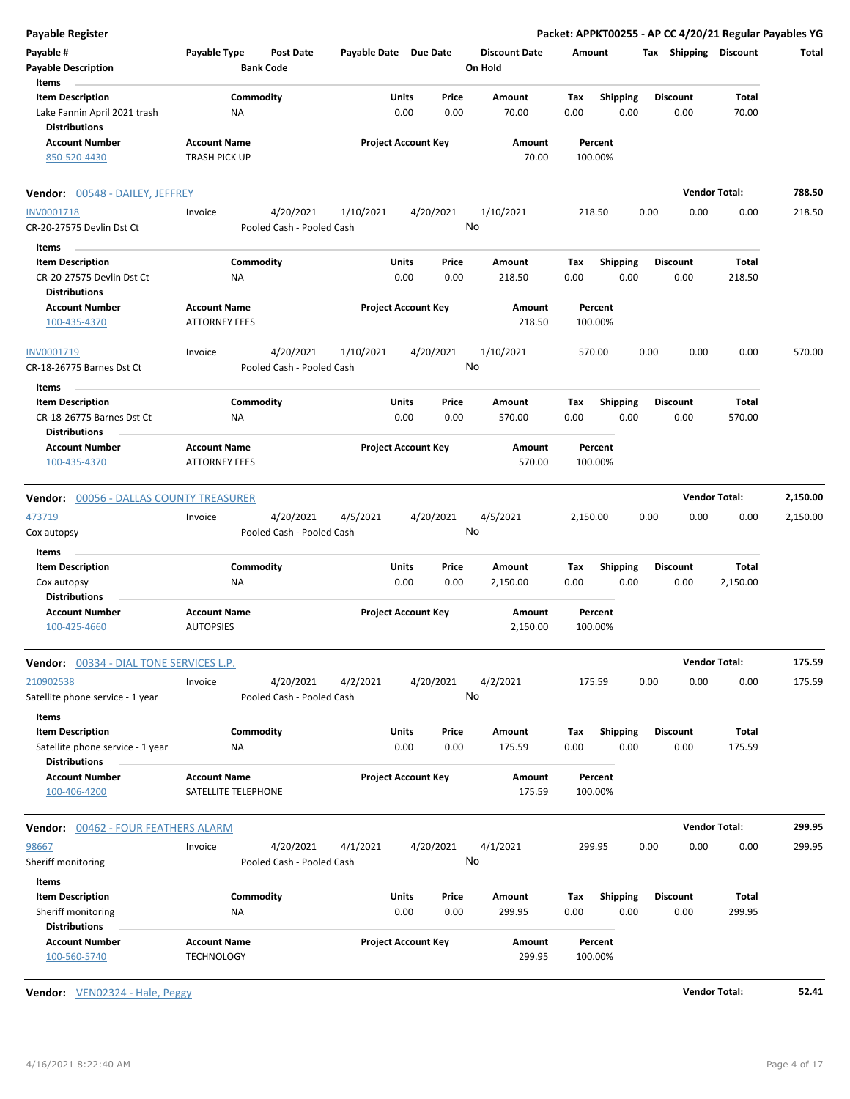| <b>Payable Register</b>                                                             |                                          |                                        |                       |                                |                      |             |                         |      |                         | Packet: APPKT00255 - AP CC 4/20/21 Regular Payables YG |              |
|-------------------------------------------------------------------------------------|------------------------------------------|----------------------------------------|-----------------------|--------------------------------|----------------------|-------------|-------------------------|------|-------------------------|--------------------------------------------------------|--------------|
| Payable #                                                                           | Payable Type                             | <b>Post Date</b>                       | Payable Date Due Date |                                | <b>Discount Date</b> | Amount      |                         |      |                         | Tax Shipping Discount                                  | <b>Total</b> |
| <b>Payable Description</b>                                                          |                                          | <b>Bank Code</b>                       |                       |                                | On Hold              |             |                         |      |                         |                                                        |              |
| Items                                                                               |                                          |                                        |                       |                                |                      |             |                         |      |                         |                                                        |              |
| <b>Item Description</b>                                                             | Commodity                                |                                        |                       | Units<br>Price                 | Amount               | Tax         | <b>Shipping</b>         |      | <b>Discount</b>         | Total                                                  |              |
| Lake Fannin April 2021 trash<br><b>Distributions</b>                                | ΝA                                       |                                        |                       | 0.00<br>0.00                   | 70.00                | 0.00        | 0.00                    |      | 0.00                    | 70.00                                                  |              |
| <b>Account Number</b><br>850-520-4430                                               | <b>Account Name</b><br>TRASH PICK UP     |                                        |                       | <b>Project Account Key</b>     | Amount<br>70.00      |             | Percent<br>100.00%      |      |                         |                                                        |              |
| Vendor: 00548 - DAILEY, JEFFREY                                                     |                                          |                                        |                       |                                |                      |             |                         |      |                         | <b>Vendor Total:</b>                                   | 788.50       |
| <b>INV0001718</b>                                                                   | Invoice                                  | 4/20/2021                              | 1/10/2021             | 4/20/2021                      | 1/10/2021            |             | 218.50                  | 0.00 | 0.00                    | 0.00                                                   | 218.50       |
| CR-20-27575 Devlin Dst Ct                                                           |                                          | Pooled Cash - Pooled Cash              |                       |                                | No                   |             |                         |      |                         |                                                        |              |
| Items                                                                               |                                          |                                        |                       |                                |                      |             |                         |      |                         |                                                        |              |
| <b>Item Description</b><br>CR-20-27575 Devlin Dst Ct                                | Commodity<br>ΝA                          |                                        |                       | Units<br>Price<br>0.00<br>0.00 | Amount<br>218.50     | Tax<br>0.00 | <b>Shipping</b><br>0.00 |      | Discount<br>0.00        | Total<br>218.50                                        |              |
| <b>Distributions</b><br><b>Account Number</b>                                       | <b>Account Name</b>                      |                                        |                       | <b>Project Account Key</b>     | Amount               |             | Percent                 |      |                         |                                                        |              |
| 100-435-4370                                                                        | <b>ATTORNEY FEES</b>                     |                                        |                       |                                | 218.50               |             | 100.00%                 |      |                         |                                                        |              |
| INV0001719<br>CR-18-26775 Barnes Dst Ct                                             | Invoice                                  | 4/20/2021<br>Pooled Cash - Pooled Cash | 1/10/2021             | 4/20/2021                      | 1/10/2021<br>No      |             | 570.00                  | 0.00 | 0.00                    | 0.00                                                   | 570.00       |
|                                                                                     |                                          |                                        |                       |                                |                      |             |                         |      |                         |                                                        |              |
| Items<br><b>Item Description</b>                                                    | Commodity                                |                                        |                       | Units<br>Price                 |                      | Tax         |                         |      | <b>Discount</b>         | <b>Total</b>                                           |              |
| CR-18-26775 Barnes Dst Ct                                                           | ΝA                                       |                                        |                       | 0.00<br>0.00                   | Amount<br>570.00     | 0.00        | <b>Shipping</b><br>0.00 |      | 0.00                    | 570.00                                                 |              |
| <b>Distributions</b><br><b>Account Number</b>                                       | <b>Account Name</b>                      |                                        |                       | <b>Project Account Key</b>     | Amount               |             | Percent                 |      |                         |                                                        |              |
| 100-435-4370                                                                        | <b>ATTORNEY FEES</b>                     |                                        |                       |                                | 570.00               |             | 100.00%                 |      |                         |                                                        |              |
| <b>Vendor: 00056 - DALLAS COUNTY TREASURER</b>                                      |                                          |                                        |                       |                                |                      |             |                         |      |                         | <b>Vendor Total:</b>                                   | 2,150.00     |
| 473719                                                                              | Invoice                                  | 4/20/2021                              | 4/5/2021              | 4/20/2021                      | 4/5/2021             | 2,150.00    |                         | 0.00 | 0.00                    | 0.00                                                   | 2,150.00     |
| Cox autopsy                                                                         |                                          | Pooled Cash - Pooled Cash              |                       |                                | No                   |             |                         |      |                         |                                                        |              |
| Items                                                                               |                                          |                                        |                       |                                |                      |             |                         |      |                         |                                                        |              |
| <b>Item Description</b>                                                             | Commodity                                |                                        |                       | Units<br>Price                 | Amount               | Tax         | Shipping                |      | <b>Discount</b>         | Total                                                  |              |
| Cox autopsy                                                                         | NA                                       |                                        |                       | 0.00<br>0.00                   | 2,150.00             | 0.00        | 0.00                    |      | 0.00                    | 2,150.00                                               |              |
| <b>Distributions</b>                                                                |                                          |                                        |                       |                                |                      |             |                         |      |                         |                                                        |              |
| <b>Account Number</b><br>100-425-4660                                               | <b>Account Name</b><br><b>AUTOPSIES</b>  |                                        |                       | <b>Project Account Key</b>     | Amount<br>2,150.00   |             | Percent<br>100.00%      |      |                         |                                                        |              |
| <b>Vendor: 00334 - DIAL TONE SERVICES L.P.</b>                                      |                                          |                                        |                       |                                |                      |             |                         |      |                         | <b>Vendor Total:</b>                                   | 175.59       |
| 210902538                                                                           | Invoice                                  | 4/20/2021<br>Pooled Cash - Pooled Cash | 4/2/2021              | 4/20/2021                      | 4/2/2021<br>No       |             | 175.59                  | 0.00 | 0.00                    | 0.00                                                   | 175.59       |
| Satellite phone service - 1 year                                                    |                                          |                                        |                       |                                |                      |             |                         |      |                         |                                                        |              |
| Items                                                                               |                                          |                                        |                       |                                |                      |             |                         |      |                         |                                                        |              |
| <b>Item Description</b><br>Satellite phone service - 1 year<br><b>Distributions</b> | Commodity<br>NA                          |                                        |                       | Units<br>Price<br>0.00<br>0.00 | Amount<br>175.59     | Tax<br>0.00 | <b>Shipping</b><br>0.00 |      | <b>Discount</b><br>0.00 | Total<br>175.59                                        |              |
| <b>Account Number</b>                                                               | <b>Account Name</b>                      |                                        |                       | <b>Project Account Key</b>     | Amount               |             | Percent                 |      |                         |                                                        |              |
| 100-406-4200                                                                        | SATELLITE TELEPHONE                      |                                        |                       |                                | 175.59               |             | 100.00%                 |      |                         |                                                        |              |
| <b>Vendor: 00462 - FOUR FEATHERS ALARM</b>                                          |                                          |                                        |                       |                                |                      |             |                         |      |                         | <b>Vendor Total:</b>                                   | 299.95       |
| 98667                                                                               | Invoice                                  | 4/20/2021                              | 4/1/2021              | 4/20/2021                      | 4/1/2021             |             | 299.95                  | 0.00 | 0.00                    | 0.00                                                   | 299.95       |
| Sheriff monitoring<br>Items                                                         |                                          | Pooled Cash - Pooled Cash              |                       |                                | No                   |             |                         |      |                         |                                                        |              |
| <b>Item Description</b>                                                             | Commodity                                |                                        |                       | Units<br>Price                 | Amount               | Tax         | <b>Shipping</b>         |      | <b>Discount</b>         | Total                                                  |              |
| Sheriff monitoring<br><b>Distributions</b>                                          | NA                                       |                                        |                       | 0.00<br>0.00                   | 299.95               | 0.00        | 0.00                    |      | 0.00                    | 299.95                                                 |              |
| <b>Account Number</b><br>100-560-5740                                               | <b>Account Name</b><br><b>TECHNOLOGY</b> |                                        |                       | <b>Project Account Key</b>     | Amount<br>299.95     |             | Percent<br>100.00%      |      |                         |                                                        |              |

**Vendor:** VEN02324 - Hale, Peggy **Vendor Total: 52.41**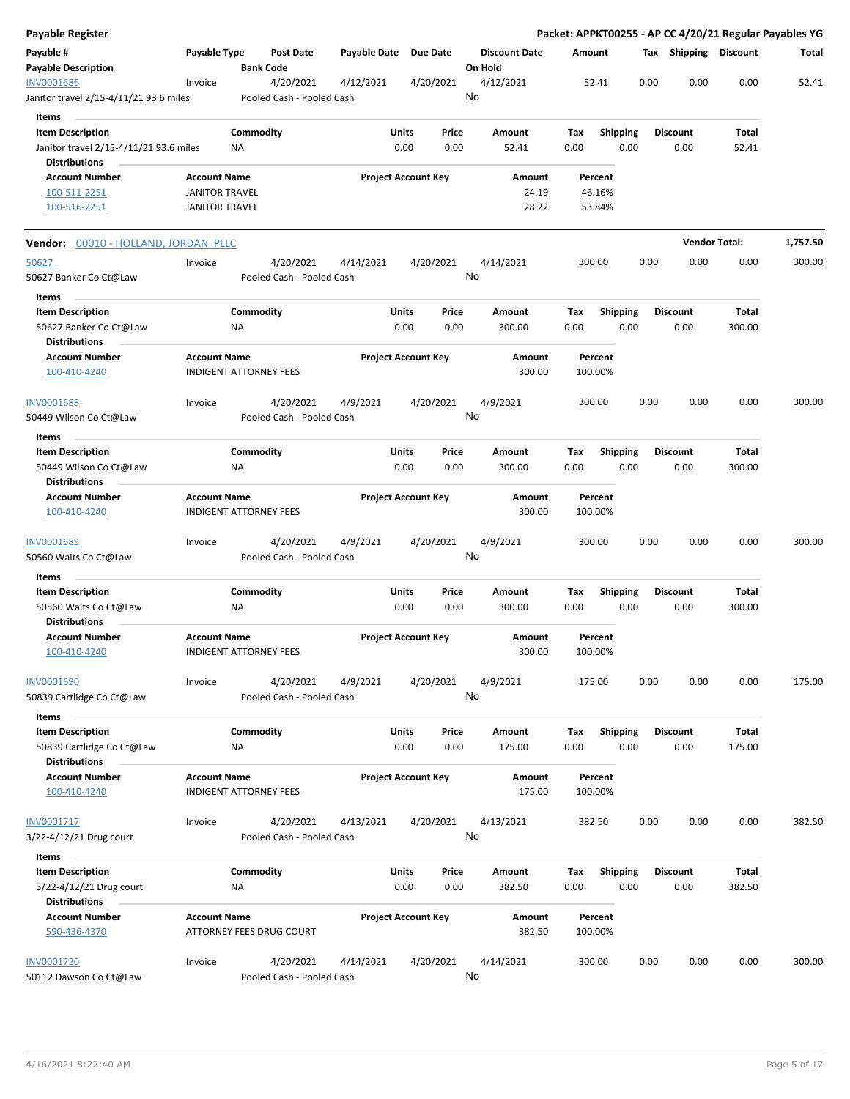| <b>Payable Register</b>                                                                   |                                                      |                        |                                        |              |               |                            |    |                                 |             |                    |                         |      |                         |                 | Packet: APPKT00255 - AP CC 4/20/21 Regular Payables YG |
|-------------------------------------------------------------------------------------------|------------------------------------------------------|------------------------|----------------------------------------|--------------|---------------|----------------------------|----|---------------------------------|-------------|--------------------|-------------------------|------|-------------------------|-----------------|--------------------------------------------------------|
| Payable #<br><b>Payable Description</b>                                                   | Payable Type                                         | <b>Bank Code</b>       | Post Date                              | Payable Date |               | <b>Due Date</b>            |    | <b>Discount Date</b><br>On Hold | Amount      |                    |                         |      | Tax Shipping Discount   |                 | Total                                                  |
| <b>INV0001686</b><br>Janitor travel 2/15-4/11/21 93.6 miles                               | Invoice                                              |                        | 4/20/2021<br>Pooled Cash - Pooled Cash | 4/12/2021    |               | 4/20/2021                  | No | 4/12/2021                       |             | 52.41              |                         | 0.00 | 0.00                    | 0.00            | 52.41                                                  |
| Items                                                                                     |                                                      |                        |                                        |              |               |                            |    |                                 |             |                    |                         |      |                         |                 |                                                        |
| <b>Item Description</b><br>Janitor travel 2/15-4/11/21 93.6 miles<br><b>Distributions</b> |                                                      | Commodity<br>ΝA        |                                        |              | Units<br>0.00 | Price<br>0.00              |    | Amount<br>52.41                 | Tax<br>0.00 |                    | <b>Shipping</b><br>0.00 |      | Discount<br>0.00        | Total<br>52.41  |                                                        |
| <b>Account Number</b>                                                                     | <b>Account Name</b>                                  |                        |                                        |              |               | <b>Project Account Key</b> |    | Amount                          |             | Percent            |                         |      |                         |                 |                                                        |
| 100-511-2251                                                                              | <b>JANITOR TRAVEL</b>                                |                        |                                        |              |               |                            |    | 24.19                           |             | 46.16%             |                         |      |                         |                 |                                                        |
| 100-516-2251                                                                              | <b>JANITOR TRAVEL</b>                                |                        |                                        |              |               |                            |    | 28.22                           |             | 53.84%             |                         |      |                         |                 |                                                        |
| Vendor: 00010 - HOLLAND, JORDAN PLLC                                                      |                                                      |                        |                                        |              |               |                            |    |                                 |             |                    |                         |      | <b>Vendor Total:</b>    |                 | 1,757.50                                               |
| 50627                                                                                     | Invoice                                              |                        | 4/20/2021                              | 4/14/2021    |               | 4/20/2021                  |    | 4/14/2021                       |             | 300.00             |                         | 0.00 | 0.00                    | 0.00            | 300.00                                                 |
| 50627 Banker Co Ct@Law                                                                    |                                                      |                        | Pooled Cash - Pooled Cash              |              |               |                            | No |                                 |             |                    |                         |      |                         |                 |                                                        |
| Items<br><b>Item Description</b>                                                          |                                                      |                        |                                        |              |               |                            |    | <b>Amount</b>                   |             |                    |                         |      |                         |                 |                                                        |
| 50627 Banker Co Ct@Law<br><b>Distributions</b>                                            |                                                      | Commodity<br>ΝA        |                                        |              | Units<br>0.00 | Price<br>0.00              |    | 300.00                          | Tax<br>0.00 |                    | <b>Shipping</b><br>0.00 |      | <b>Discount</b><br>0.00 | Total<br>300.00 |                                                        |
| <b>Account Number</b><br>100-410-4240                                                     | <b>Account Name</b><br><b>INDIGENT ATTORNEY FEES</b> |                        |                                        |              |               | <b>Project Account Key</b> |    | Amount<br>300.00                |             | Percent<br>100.00% |                         |      |                         |                 |                                                        |
| <b>INV0001688</b><br>50449 Wilson Co Ct@Law                                               | Invoice                                              |                        | 4/20/2021<br>Pooled Cash - Pooled Cash | 4/9/2021     |               | 4/20/2021                  | No | 4/9/2021                        |             | 300.00             |                         | 0.00 | 0.00                    | 0.00            | 300.00                                                 |
| Items                                                                                     |                                                      |                        |                                        |              |               |                            |    |                                 |             |                    |                         |      |                         |                 |                                                        |
| <b>Item Description</b><br>50449 Wilson Co Ct@Law<br><b>Distributions</b>                 |                                                      | Commodity<br>ΝA        |                                        |              | Units<br>0.00 | Price<br>0.00              |    | Amount<br>300.00                | Tax<br>0.00 |                    | <b>Shipping</b><br>0.00 |      | <b>Discount</b><br>0.00 | Total<br>300.00 |                                                        |
| <b>Account Number</b>                                                                     | <b>Account Name</b>                                  |                        |                                        |              |               | <b>Project Account Key</b> |    | Amount                          |             | Percent            |                         |      |                         |                 |                                                        |
| 100-410-4240                                                                              | <b>INDIGENT ATTORNEY FEES</b>                        |                        |                                        |              |               |                            |    | 300.00                          |             | 100.00%            |                         |      |                         |                 |                                                        |
| INV0001689<br>50560 Waits Co Ct@Law                                                       | Invoice                                              |                        | 4/20/2021<br>Pooled Cash - Pooled Cash | 4/9/2021     |               | 4/20/2021                  | No | 4/9/2021                        |             | 300.00             |                         | 0.00 | 0.00                    | 0.00            | 300.00                                                 |
| Items                                                                                     |                                                      |                        |                                        |              |               |                            |    |                                 |             |                    |                         |      |                         |                 |                                                        |
| <b>Item Description</b><br>50560 Waits Co Ct@Law<br><b>Distributions</b>                  |                                                      | Commodity<br>ΝA        |                                        |              | Units<br>0.00 | Price<br>0.00              |    | Amount<br>300.00                | Tax<br>0.00 |                    | <b>Shipping</b><br>0.00 |      | <b>Discount</b><br>0.00 | Total<br>300.00 |                                                        |
| <b>Account Number</b><br>100-410-4240                                                     | <b>Account Name</b><br><b>INDIGENT ATTORNEY FEES</b> |                        |                                        |              |               | <b>Project Account Key</b> |    | Amount<br>300.00                |             | Percent<br>100.00% |                         |      |                         |                 |                                                        |
| INV0001690<br>50839 Cartlidge Co Ct@Law                                                   | Invoice                                              |                        | 4/20/2021<br>Pooled Cash - Pooled Cash | 4/9/2021     |               | 4/20/2021                  | No | 4/9/2021                        |             | 175.00             |                         | 0.00 | 0.00                    | 0.00            | 175.00                                                 |
| Items                                                                                     |                                                      |                        |                                        |              |               |                            |    |                                 |             |                    |                         |      |                         |                 |                                                        |
| <b>Item Description</b><br>50839 Cartlidge Co Ct@Law                                      |                                                      | Commodity<br>NA        |                                        |              | Units<br>0.00 | Price<br>0.00              |    | Amount<br>175.00                | Tax<br>0.00 |                    | Shipping<br>0.00        |      | <b>Discount</b><br>0.00 | Total<br>175.00 |                                                        |
| <b>Distributions</b><br><b>Account Number</b>                                             | <b>Account Name</b>                                  |                        |                                        |              |               | <b>Project Account Key</b> |    | Amount                          |             | Percent            |                         |      |                         |                 |                                                        |
| 100-410-4240                                                                              | <b>INDIGENT ATTORNEY FEES</b>                        |                        |                                        |              |               |                            |    | 175.00                          |             | 100.00%            |                         |      |                         |                 |                                                        |
| INV0001717<br>3/22-4/12/21 Drug court                                                     | Invoice                                              |                        | 4/20/2021<br>Pooled Cash - Pooled Cash | 4/13/2021    |               | 4/20/2021                  | No | 4/13/2021                       |             | 382.50             |                         | 0.00 | 0.00                    | 0.00            | 382.50                                                 |
| Items                                                                                     |                                                      |                        |                                        |              |               |                            |    |                                 |             |                    |                         |      |                         |                 |                                                        |
| <b>Item Description</b><br>3/22-4/12/21 Drug court<br><b>Distributions</b>                |                                                      | Commodity<br><b>NA</b> |                                        |              | Units<br>0.00 | Price<br>0.00              |    | Amount<br>382.50                | Tax<br>0.00 |                    | Shipping<br>0.00        |      | <b>Discount</b><br>0.00 | Total<br>382.50 |                                                        |
| <b>Account Number</b><br>590-436-4370                                                     | <b>Account Name</b>                                  |                        | ATTORNEY FEES DRUG COURT               |              |               | <b>Project Account Key</b> |    | Amount<br>382.50                |             | Percent<br>100.00% |                         |      |                         |                 |                                                        |
| <b>INV0001720</b><br>50112 Dawson Co Ct@Law                                               | Invoice                                              |                        | 4/20/2021<br>Pooled Cash - Pooled Cash | 4/14/2021    |               | 4/20/2021                  | No | 4/14/2021                       |             | 300.00             |                         | 0.00 | 0.00                    | 0.00            | 300.00                                                 |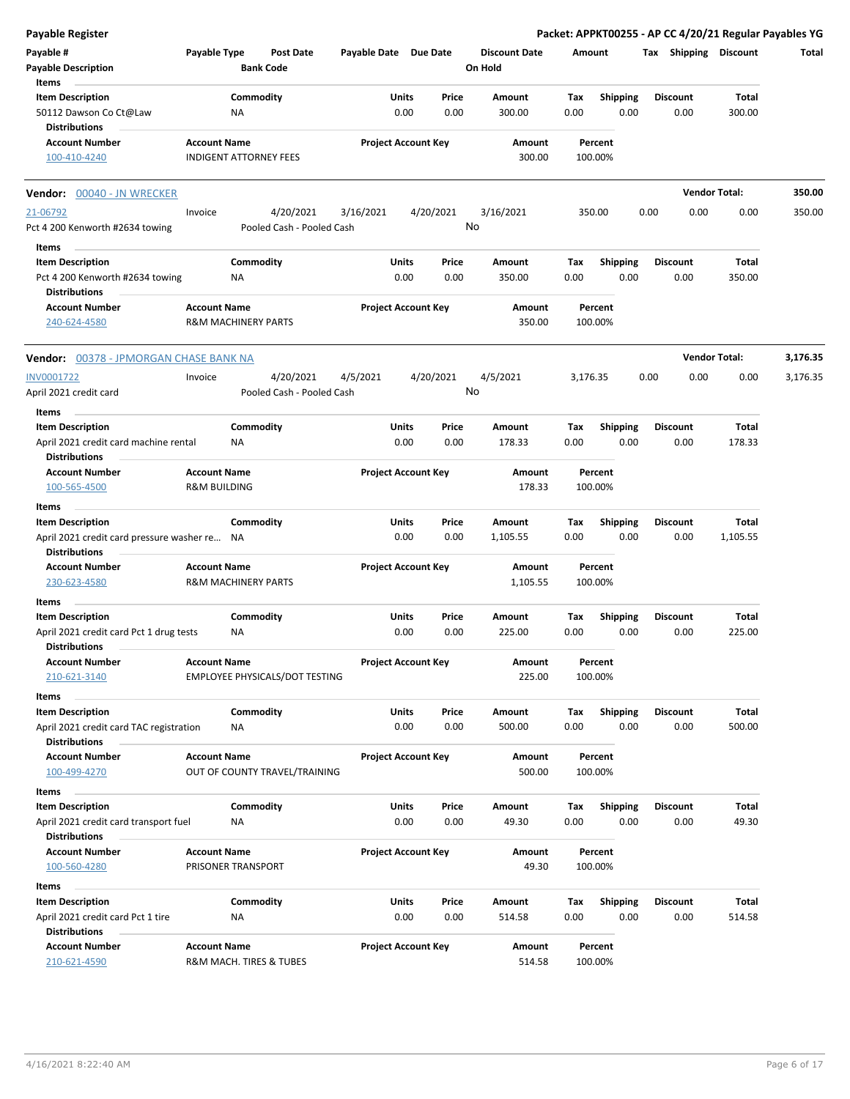| <b>Payable Register</b>                                                                    |                         |                                        |                       |                            |               |                                 |             |                         |      |                         |                       | Packet: APPKT00255 - AP CC 4/20/21 Regular Payables YG |
|--------------------------------------------------------------------------------------------|-------------------------|----------------------------------------|-----------------------|----------------------------|---------------|---------------------------------|-------------|-------------------------|------|-------------------------|-----------------------|--------------------------------------------------------|
| Payable #<br><b>Payable Description</b>                                                    | Payable Type            | <b>Post Date</b><br><b>Bank Code</b>   | Payable Date Due Date |                            |               | <b>Discount Date</b><br>On Hold | Amount      |                         |      |                         | Tax Shipping Discount | Total                                                  |
| Items<br><b>Item Description</b>                                                           |                         | Commodity                              |                       | <b>Units</b>               | Price         | Amount                          | Tax         | <b>Shipping</b>         |      | <b>Discount</b>         | Total                 |                                                        |
| 50112 Dawson Co Ct@Law<br><b>Distributions</b>                                             |                         | ΝA                                     |                       | 0.00                       | 0.00          | 300.00                          | 0.00        | 0.00                    |      | 0.00                    | 300.00                |                                                        |
| <b>Account Number</b><br>100-410-4240                                                      | <b>Account Name</b>     | <b>INDIGENT ATTORNEY FEES</b>          |                       | <b>Project Account Key</b> |               | Amount<br>300.00                |             | Percent<br>100.00%      |      |                         |                       |                                                        |
| <b>Vendor: 00040 - JN WRECKER</b>                                                          |                         |                                        |                       |                            |               |                                 |             |                         |      |                         | <b>Vendor Total:</b>  | 350.00                                                 |
| 21-06792                                                                                   | Invoice                 | 4/20/2021                              | 3/16/2021             | 4/20/2021                  |               | 3/16/2021                       |             | 350.00                  | 0.00 | 0.00                    | 0.00                  | 350.00                                                 |
| Pct 4 200 Kenworth #2634 towing                                                            |                         | Pooled Cash - Pooled Cash              |                       |                            |               | No                              |             |                         |      |                         |                       |                                                        |
| Items                                                                                      |                         |                                        |                       |                            |               |                                 |             |                         |      |                         |                       |                                                        |
| <b>Item Description</b>                                                                    |                         | Commodity                              |                       | Units                      | Price         | Amount                          | Tax         | Shipping                |      | <b>Discount</b>         | Total                 |                                                        |
| Pct 4 200 Kenworth #2634 towing<br><b>Distributions</b>                                    |                         | NA                                     |                       | 0.00                       | 0.00          | 350.00                          | 0.00        | 0.00                    |      | 0.00                    | 350.00                |                                                        |
| <b>Account Number</b><br>240-624-4580                                                      | <b>Account Name</b>     | <b>R&amp;M MACHINERY PARTS</b>         |                       | <b>Project Account Key</b> |               | Amount<br>350.00                |             | Percent<br>100.00%      |      |                         |                       |                                                        |
| Vendor: 00378 - JPMORGAN CHASE BANK NA                                                     |                         |                                        |                       |                            |               |                                 |             |                         |      |                         | <b>Vendor Total:</b>  | 3,176.35                                               |
| INV0001722<br>April 2021 credit card                                                       | Invoice                 | 4/20/2021<br>Pooled Cash - Pooled Cash | 4/5/2021              | 4/20/2021                  |               | 4/5/2021<br>No                  | 3,176.35    |                         | 0.00 | 0.00                    | 0.00                  | 3,176.35                                               |
|                                                                                            |                         |                                        |                       |                            |               |                                 |             |                         |      |                         |                       |                                                        |
| Items<br><b>Item Description</b>                                                           |                         | Commodity                              |                       | Units                      | Price         | Amount                          | Tax         | <b>Shipping</b>         |      | <b>Discount</b>         | <b>Total</b>          |                                                        |
| April 2021 credit card machine rental<br><b>Distributions</b>                              |                         | ΝA                                     |                       | 0.00                       | 0.00          | 178.33                          | 0.00        | 0.00                    |      | 0.00                    | 178.33                |                                                        |
| <b>Account Number</b>                                                                      | <b>Account Name</b>     |                                        |                       | <b>Project Account Key</b> |               | Amount                          |             | Percent                 |      |                         |                       |                                                        |
| 100-565-4500                                                                               | <b>R&amp;M BUILDING</b> |                                        |                       |                            |               | 178.33                          |             | 100.00%                 |      |                         |                       |                                                        |
| Items                                                                                      |                         |                                        |                       |                            |               |                                 |             |                         |      |                         |                       |                                                        |
| <b>Item Description</b><br>April 2021 credit card pressure washer re NA                    |                         | Commodity                              |                       | <b>Units</b><br>0.00       | Price<br>0.00 | Amount<br>1,105.55              | Tax<br>0.00 | <b>Shipping</b><br>0.00 |      | <b>Discount</b><br>0.00 | Total<br>1,105.55     |                                                        |
| <b>Distributions</b>                                                                       |                         |                                        |                       |                            |               |                                 |             |                         |      |                         |                       |                                                        |
| <b>Account Number</b><br>230-623-4580                                                      | <b>Account Name</b>     | <b>R&amp;M MACHINERY PARTS</b>         |                       | <b>Project Account Key</b> |               | Amount<br>1,105.55              |             | Percent<br>100.00%      |      |                         |                       |                                                        |
| Items                                                                                      |                         |                                        |                       |                            |               |                                 |             |                         |      |                         |                       |                                                        |
| <b>Item Description</b>                                                                    |                         | Commodity                              |                       | Units                      | Price         | Amount                          | Tax         | Shipping                |      | <b>Discount</b>         | Total                 |                                                        |
| April 2021 credit card Pct 1 drug tests<br><b>Distributions</b>                            |                         | ΝA                                     |                       | 0.00                       | 0.00          | 225.00                          | 0.00        | 0.00                    |      | 0.00                    | 225.00                |                                                        |
| <b>Account Number</b><br>210-621-3140                                                      | <b>Account Name</b>     | <b>EMPLOYEE PHYSICALS/DOT TESTING</b>  |                       | <b>Project Account Key</b> |               | Amount<br>225.00                |             | Percent<br>100.00%      |      |                         |                       |                                                        |
| Items                                                                                      |                         |                                        |                       |                            |               |                                 |             |                         |      |                         |                       |                                                        |
| <b>Item Description</b><br>April 2021 credit card TAC registration<br><b>Distributions</b> |                         | Commodity<br>ΝA                        |                       | <b>Units</b><br>0.00       | Price<br>0.00 | Amount<br>500.00                | Тах<br>0.00 | <b>Shipping</b><br>0.00 |      | <b>Discount</b><br>0.00 | Total<br>500.00       |                                                        |
| <b>Account Number</b>                                                                      | <b>Account Name</b>     |                                        |                       | <b>Project Account Key</b> |               | Amount<br>500.00                |             | Percent                 |      |                         |                       |                                                        |
| 100-499-4270                                                                               |                         | OUT OF COUNTY TRAVEL/TRAINING          |                       |                            |               |                                 |             | 100.00%                 |      |                         |                       |                                                        |
| Items<br><b>Item Description</b>                                                           |                         | Commodity                              |                       | <b>Units</b>               | Price         | Amount                          | Tax         | <b>Shipping</b>         |      | <b>Discount</b>         | Total                 |                                                        |
| April 2021 credit card transport fuel<br><b>Distributions</b>                              |                         | NA                                     |                       | 0.00                       | 0.00          | 49.30                           | 0.00        | 0.00                    |      | 0.00                    | 49.30                 |                                                        |
| <b>Account Number</b>                                                                      | <b>Account Name</b>     |                                        |                       | <b>Project Account Key</b> |               | Amount                          |             | Percent                 |      |                         |                       |                                                        |
| 100-560-4280                                                                               |                         | PRISONER TRANSPORT                     |                       |                            |               | 49.30                           |             | 100.00%                 |      |                         |                       |                                                        |
| Items                                                                                      |                         |                                        |                       |                            |               |                                 |             |                         |      |                         |                       |                                                        |
| <b>Item Description</b>                                                                    |                         | Commodity                              |                       | <b>Units</b>               | Price         | Amount                          | Tax         | <b>Shipping</b>         |      | <b>Discount</b>         | Total                 |                                                        |
| April 2021 credit card Pct 1 tire<br><b>Distributions</b>                                  |                         | <b>NA</b>                              |                       | 0.00                       | 0.00          | 514.58                          | 0.00        | 0.00                    |      | 0.00                    | 514.58                |                                                        |
| <b>Account Number</b><br>210-621-4590                                                      | <b>Account Name</b>     | R&M MACH. TIRES & TUBES                |                       | <b>Project Account Key</b> |               | Amount<br>514.58                |             | Percent<br>100.00%      |      |                         |                       |                                                        |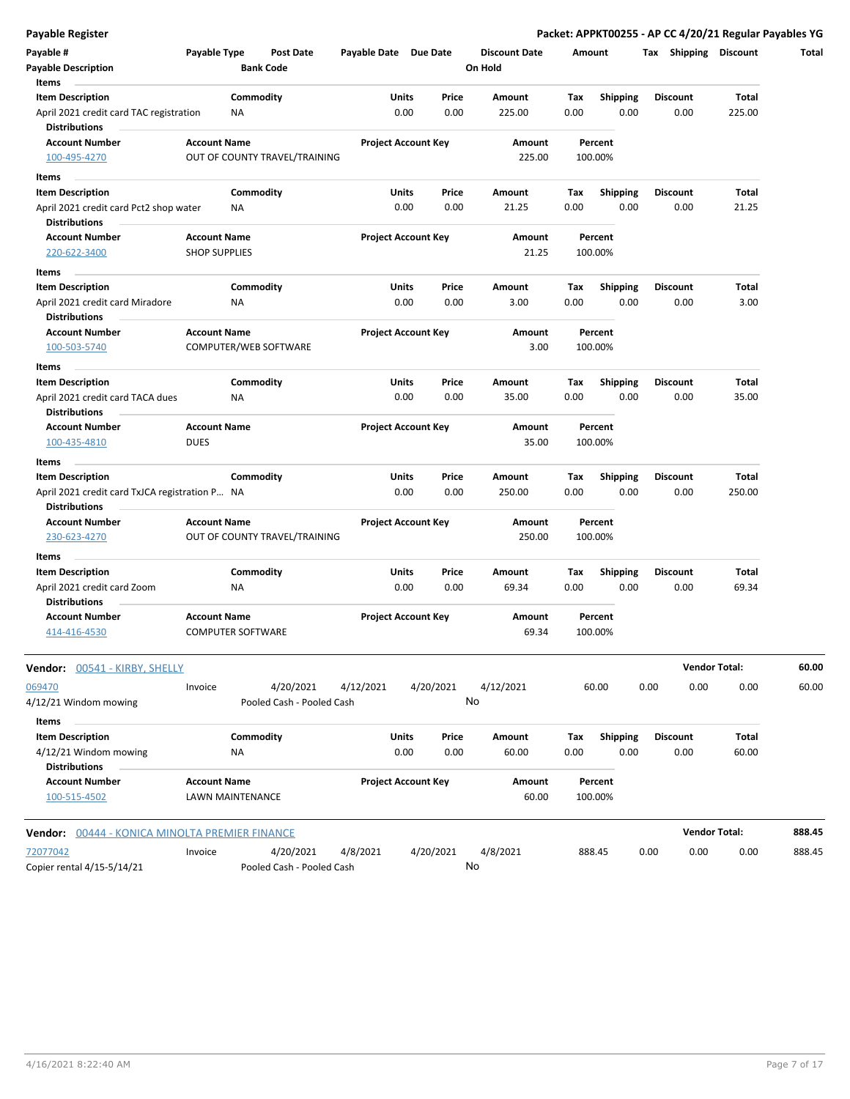|  | <b>Payable Register</b> |  |
|--|-------------------------|--|
|  |                         |  |

| Payable #                                                       | Payable Type         |                          | Post Date                     | Payable Date Due Date      |              |           | <b>Discount Date</b> |      | Amount          |      | Tax Shipping Discount |                      | Total  |
|-----------------------------------------------------------------|----------------------|--------------------------|-------------------------------|----------------------------|--------------|-----------|----------------------|------|-----------------|------|-----------------------|----------------------|--------|
| <b>Payable Description</b>                                      |                      | <b>Bank Code</b>         |                               |                            |              |           | On Hold              |      |                 |      |                       |                      |        |
| Items                                                           |                      |                          |                               |                            |              |           |                      |      |                 |      |                       |                      |        |
| <b>Item Description</b>                                         |                      | Commodity                |                               |                            | Units        | Price     | Amount               | Tax  | <b>Shipping</b> |      | <b>Discount</b>       | Total                |        |
| April 2021 credit card TAC registration<br><b>Distributions</b> |                      | NA                       |                               |                            | 0.00         | 0.00      | 225.00               | 0.00 | 0.00            |      | 0.00                  | 225.00               |        |
| <b>Account Number</b>                                           | <b>Account Name</b>  |                          |                               | <b>Project Account Key</b> |              |           | Amount               |      | Percent         |      |                       |                      |        |
| 100-495-4270                                                    |                      |                          | OUT OF COUNTY TRAVEL/TRAINING |                            |              |           | 225.00               |      | 100.00%         |      |                       |                      |        |
| Items                                                           |                      |                          |                               |                            |              |           |                      |      |                 |      |                       |                      |        |
| <b>Item Description</b>                                         |                      | Commodity                |                               |                            | <b>Units</b> | Price     | Amount               | Tax  | <b>Shipping</b> |      | <b>Discount</b>       | Total                |        |
| April 2021 credit card Pct2 shop water                          |                      | ΝA                       |                               |                            | 0.00         | 0.00      | 21.25                | 0.00 | 0.00            |      | 0.00                  | 21.25                |        |
| <b>Distributions</b>                                            |                      |                          |                               |                            |              |           |                      |      |                 |      |                       |                      |        |
| <b>Account Number</b>                                           | <b>Account Name</b>  |                          |                               | <b>Project Account Key</b> |              |           | Amount               |      | Percent         |      |                       |                      |        |
| 220-622-3400                                                    | <b>SHOP SUPPLIES</b> |                          |                               |                            |              |           | 21.25                |      | 100.00%         |      |                       |                      |        |
| Items                                                           |                      |                          |                               |                            |              |           |                      |      |                 |      |                       |                      |        |
| <b>Item Description</b>                                         |                      | Commodity                |                               |                            | Units        | Price     | Amount               | Tax  | <b>Shipping</b> |      | <b>Discount</b>       | Total                |        |
| April 2021 credit card Miradore                                 |                      | NA                       |                               |                            | 0.00         | 0.00      | 3.00                 | 0.00 | 0.00            |      | 0.00                  | 3.00                 |        |
| <b>Distributions</b>                                            |                      |                          |                               |                            |              |           |                      |      |                 |      |                       |                      |        |
| <b>Account Number</b>                                           | <b>Account Name</b>  |                          |                               | <b>Project Account Key</b> |              |           | Amount               |      | Percent         |      |                       |                      |        |
| 100-503-5740                                                    |                      | COMPUTER/WEB SOFTWARE    |                               |                            |              |           | 3.00                 |      | 100.00%         |      |                       |                      |        |
| Items                                                           |                      |                          |                               |                            |              |           |                      |      |                 |      |                       |                      |        |
| <b>Item Description</b>                                         |                      | Commodity                |                               |                            | Units        | Price     | Amount               | Tax  | Shipping        |      | <b>Discount</b>       | Total                |        |
| April 2021 credit card TACA dues                                |                      | NA                       |                               |                            | 0.00         | 0.00      | 35.00                | 0.00 | 0.00            |      | 0.00                  | 35.00                |        |
| <b>Distributions</b>                                            |                      |                          |                               |                            |              |           |                      |      |                 |      |                       |                      |        |
| <b>Account Number</b>                                           | <b>Account Name</b>  |                          |                               | <b>Project Account Key</b> |              |           | Amount               |      | Percent         |      |                       |                      |        |
| 100-435-4810                                                    | <b>DUES</b>          |                          |                               |                            |              |           | 35.00                |      | 100.00%         |      |                       |                      |        |
| Items                                                           |                      |                          |                               |                            |              |           |                      |      |                 |      |                       |                      |        |
| <b>Item Description</b>                                         |                      | Commodity                |                               |                            | <b>Units</b> | Price     | Amount               | Тах  | <b>Shipping</b> |      | <b>Discount</b>       | Total                |        |
| April 2021 credit card TxJCA registration P NA                  |                      |                          |                               |                            | 0.00         | 0.00      | 250.00               | 0.00 | 0.00            |      | 0.00                  | 250.00               |        |
| <b>Distributions</b>                                            |                      |                          |                               |                            |              |           |                      |      |                 |      |                       |                      |        |
| <b>Account Number</b>                                           | <b>Account Name</b>  |                          |                               | <b>Project Account Key</b> |              |           | Amount               |      | Percent         |      |                       |                      |        |
| 230-623-4270                                                    |                      |                          | OUT OF COUNTY TRAVEL/TRAINING |                            |              |           | 250.00               |      | 100.00%         |      |                       |                      |        |
| Items                                                           |                      |                          |                               |                            |              |           |                      |      |                 |      |                       |                      |        |
| <b>Item Description</b>                                         |                      | Commodity                |                               |                            | Units        | Price     | Amount               | Tax  | <b>Shipping</b> |      | <b>Discount</b>       | Total                |        |
| April 2021 credit card Zoom                                     |                      | NA                       |                               |                            | 0.00         | 0.00      | 69.34                | 0.00 | 0.00            |      | 0.00                  | 69.34                |        |
| <b>Distributions</b>                                            |                      |                          |                               |                            |              |           |                      |      |                 |      |                       |                      |        |
| <b>Account Number</b>                                           | <b>Account Name</b>  |                          |                               | <b>Project Account Key</b> |              |           | Amount               |      | Percent         |      |                       |                      |        |
| 414-416-4530                                                    |                      | <b>COMPUTER SOFTWARE</b> |                               |                            |              |           | 69.34                |      | 100.00%         |      |                       |                      |        |
|                                                                 |                      |                          |                               |                            |              |           |                      |      |                 |      |                       | <b>Vendor Total:</b> | 60.00  |
| Vendor: 00541 - KIRBY, SHELLY                                   |                      |                          |                               |                            |              |           |                      |      |                 |      |                       |                      |        |
| 069470                                                          | Invoice              |                          | 4/20/2021                     | 4/12/2021                  |              | 4/20/2021 | 4/12/2021            |      | 60.00           | 0.00 | 0.00                  | 0.00                 | 60.00  |
| 4/12/21 Windom mowing                                           |                      |                          | Pooled Cash - Pooled Cash     |                            |              |           | No                   |      |                 |      |                       |                      |        |
| Items                                                           |                      |                          |                               |                            |              |           |                      |      |                 |      |                       |                      |        |
| <b>Item Description</b>                                         |                      | Commodity                |                               |                            | Units        | Price     | Amount               | Tax  | <b>Shipping</b> |      | <b>Discount</b>       | Total                |        |
| 4/12/21 Windom mowing                                           |                      | ΝA                       |                               |                            | 0.00         | 0.00      | 60.00                | 0.00 | 0.00            |      | 0.00                  | 60.00                |        |
| <b>Distributions</b>                                            |                      |                          |                               |                            |              |           |                      |      |                 |      |                       |                      |        |
| <b>Account Number</b>                                           | <b>Account Name</b>  |                          |                               | <b>Project Account Key</b> |              |           | Amount               |      | Percent         |      |                       |                      |        |
| 100-515-4502                                                    |                      | LAWN MAINTENANCE         |                               |                            |              |           | 60.00                |      | 100.00%         |      |                       |                      |        |
| <b>Vendor:</b> 00444 - KONICA MINOLTA PREMIER FINANCE           |                      |                          |                               |                            |              |           |                      |      |                 |      |                       | <b>Vendor Total:</b> | 888.45 |
| 72077042                                                        | Invoice              |                          | 4/20/2021                     | 4/8/2021                   |              | 4/20/2021 | 4/8/2021             |      | 888.45          | 0.00 | 0.00                  | 0.00                 | 888.45 |
| Copier rental 4/15-5/14/21                                      |                      |                          | Pooled Cash - Pooled Cash     |                            |              |           | No                   |      |                 |      |                       |                      |        |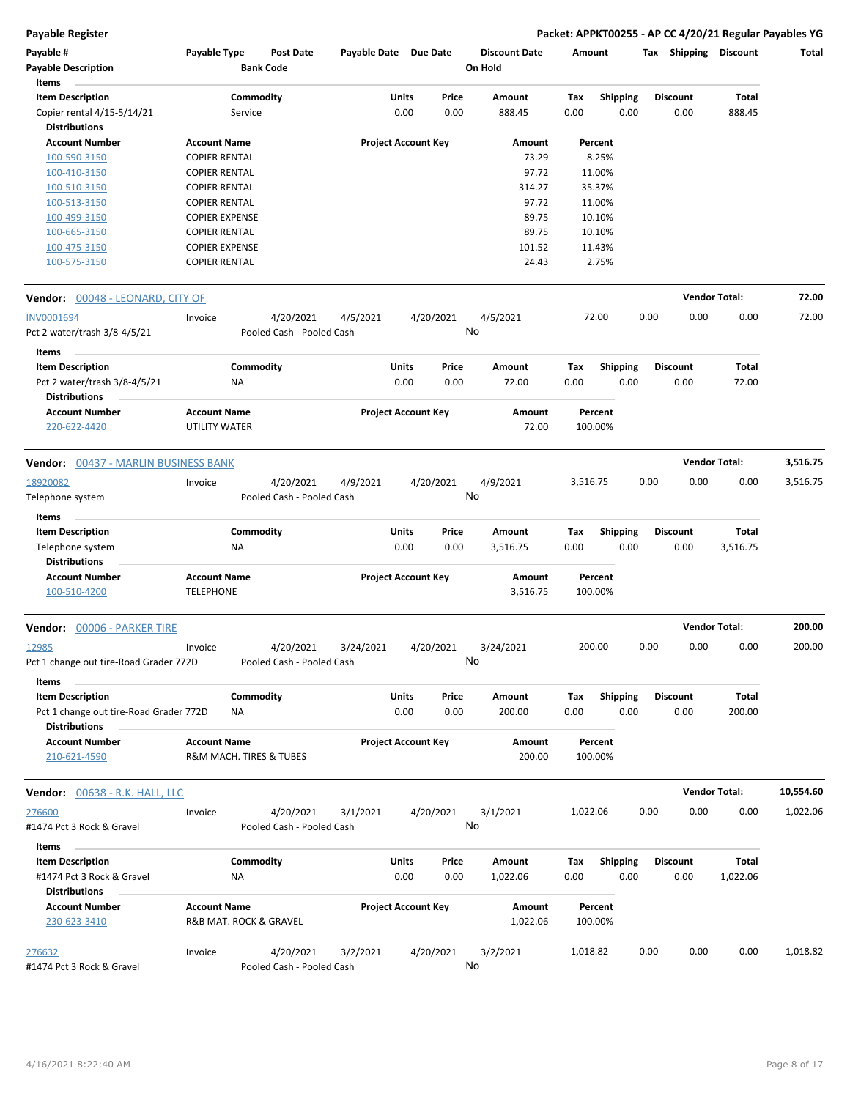**Payable Register Packet: APPKT00255 - AP CC 4/20/21 Regular Payables YG**

| Payable #<br><b>Payable Description</b>     | Payable Type          | Post Date<br><b>Bank Code</b> | Payable Date Due Date |                            |           | <b>Discount Date</b><br>On Hold | Amount   |                         |      | Tax Shipping         | Discount             | Total     |
|---------------------------------------------|-----------------------|-------------------------------|-----------------------|----------------------------|-----------|---------------------------------|----------|-------------------------|------|----------------------|----------------------|-----------|
| Items                                       |                       |                               |                       |                            |           |                                 |          |                         |      |                      |                      |           |
| <b>Item Description</b>                     |                       | Commodity                     |                       | Units                      | Price     | Amount                          | Tax      | <b>Shipping</b>         |      | <b>Discount</b>      | <b>Total</b>         |           |
| Copier rental 4/15-5/14/21                  |                       | Service                       |                       | 0.00                       | 0.00      | 888.45                          | 0.00     | 0.00                    |      | 0.00                 | 888.45               |           |
| <b>Distributions</b>                        |                       |                               |                       |                            |           |                                 |          |                         |      |                      |                      |           |
| <b>Account Number</b>                       | <b>Account Name</b>   |                               |                       | <b>Project Account Key</b> |           | Amount                          | Percent  |                         |      |                      |                      |           |
| 100-590-3150                                | <b>COPIER RENTAL</b>  |                               |                       |                            |           | 73.29                           | 8.25%    |                         |      |                      |                      |           |
| 100-410-3150                                | <b>COPIER RENTAL</b>  |                               |                       |                            |           | 97.72                           | 11.00%   |                         |      |                      |                      |           |
| 100-510-3150                                | <b>COPIER RENTAL</b>  |                               |                       |                            |           | 314.27                          | 35.37%   |                         |      |                      |                      |           |
| 100-513-3150                                | <b>COPIER RENTAL</b>  |                               |                       |                            |           | 97.72                           | 11.00%   |                         |      |                      |                      |           |
| 100-499-3150                                | <b>COPIER EXPENSE</b> |                               |                       |                            |           | 89.75                           | 10.10%   |                         |      |                      |                      |           |
| 100-665-3150                                | <b>COPIER RENTAL</b>  |                               |                       |                            |           | 89.75                           | 10.10%   |                         |      |                      |                      |           |
| 100-475-3150                                | <b>COPIER EXPENSE</b> |                               |                       |                            |           | 101.52                          | 11.43%   |                         |      |                      |                      |           |
| 100-575-3150                                | <b>COPIER RENTAL</b>  |                               |                       |                            |           | 24.43                           | 2.75%    |                         |      |                      |                      |           |
| Vendor: 00048 - LEONARD, CITY OF            |                       |                               |                       |                            |           |                                 |          |                         |      | <b>Vendor Total:</b> |                      | 72.00     |
| <b>INV0001694</b>                           | Invoice               | 4/20/2021                     | 4/5/2021              |                            | 4/20/2021 | 4/5/2021                        | 72.00    |                         | 0.00 | 0.00                 | 0.00                 | 72.00     |
| Pct 2 water/trash 3/8-4/5/21                |                       | Pooled Cash - Pooled Cash     |                       |                            |           | No                              |          |                         |      |                      |                      |           |
|                                             |                       |                               |                       |                            |           |                                 |          |                         |      |                      |                      |           |
| Items                                       |                       |                               |                       |                            |           |                                 |          |                         |      |                      |                      |           |
| <b>Item Description</b>                     |                       | Commodity                     |                       | <b>Units</b>               | Price     | Amount                          | Tax      | <b>Shipping</b>         |      | <b>Discount</b>      | Total                |           |
| Pct 2 water/trash 3/8-4/5/21                | ΝA                    |                               |                       | 0.00                       | 0.00      | 72.00                           | 0.00     | 0.00                    |      | 0.00                 | 72.00                |           |
| <b>Distributions</b>                        |                       |                               |                       |                            |           |                                 |          |                         |      |                      |                      |           |
| <b>Account Number</b>                       | <b>Account Name</b>   |                               |                       | <b>Project Account Key</b> |           | Amount                          | Percent  |                         |      |                      |                      |           |
| 220-622-4420                                | UTILITY WATER         |                               |                       |                            |           | 72.00                           | 100.00%  |                         |      |                      |                      |           |
| <b>Vendor:</b> 00437 - MARLIN BUSINESS BANK |                       |                               |                       |                            |           |                                 |          |                         |      | <b>Vendor Total:</b> |                      | 3,516.75  |
| 18920082                                    | Invoice               | 4/20/2021                     | 4/9/2021              |                            | 4/20/2021 | 4/9/2021                        | 3,516.75 |                         | 0.00 | 0.00                 | 0.00                 | 3,516.75  |
| Telephone system                            |                       | Pooled Cash - Pooled Cash     |                       |                            |           | No                              |          |                         |      |                      |                      |           |
| Items                                       |                       |                               |                       |                            |           |                                 |          |                         |      |                      |                      |           |
| <b>Item Description</b>                     |                       | Commodity                     |                       | <b>Units</b>               | Price     | Amount                          | Tax      |                         |      | <b>Discount</b>      | Total                |           |
|                                             | NA                    |                               |                       | 0.00                       | 0.00      |                                 | 0.00     | <b>Shipping</b><br>0.00 |      | 0.00                 |                      |           |
| Telephone system                            |                       |                               |                       |                            |           | 3,516.75                        |          |                         |      |                      | 3,516.75             |           |
| <b>Distributions</b>                        |                       |                               |                       |                            |           |                                 |          |                         |      |                      |                      |           |
| <b>Account Number</b>                       | <b>Account Name</b>   |                               |                       | <b>Project Account Key</b> |           | Amount                          | Percent  |                         |      |                      |                      |           |
| 100-510-4200                                | <b>TELEPHONE</b>      |                               |                       |                            |           | 3,516.75                        | 100.00%  |                         |      |                      |                      |           |
| 00006 - PARKER TIRE<br>Vendor:              |                       |                               |                       |                            |           |                                 |          |                         |      | <b>Vendor Total:</b> |                      | 200.00    |
| 12985                                       | Invoice               | 4/20/2021                     | 3/24/2021             |                            | 4/20/2021 | 3/24/2021                       | 200.00   |                         | 0.00 | 0.00                 | 0.00                 | 200.00    |
| Pct 1 change out tire-Road Grader 772D      |                       | Pooled Cash - Pooled Cash     |                       |                            |           | No                              |          |                         |      |                      |                      |           |
| Items                                       |                       |                               |                       |                            |           |                                 |          |                         |      |                      |                      |           |
| <b>Item Description</b>                     |                       | Commodity                     |                       | Units                      | Price     | Amount                          | Tax      | <b>Shipping</b>         |      | <b>Discount</b>      | Total                |           |
| Pct 1 change out tire-Road Grader 772D      | ΝA                    |                               |                       | 0.00                       | 0.00      | 200.00                          | 0.00     | 0.00                    |      | 0.00                 | 200.00               |           |
| <b>Distributions</b>                        |                       |                               |                       |                            |           |                                 |          |                         |      |                      |                      |           |
| <b>Account Number</b>                       | <b>Account Name</b>   |                               |                       | <b>Project Account Key</b> |           | Amount                          | Percent  |                         |      |                      |                      |           |
| 210-621-4590                                |                       | R&M MACH. TIRES & TUBES       |                       |                            |           | 200.00                          | 100.00%  |                         |      |                      |                      |           |
|                                             |                       |                               |                       |                            |           |                                 |          |                         |      |                      |                      |           |
| <b>Vendor:</b> 00638 - R.K. HALL, LLC       |                       |                               |                       |                            |           |                                 |          |                         |      |                      | <b>Vendor Total:</b> | 10,554.60 |
| 276600                                      | Invoice               | 4/20/2021                     | 3/1/2021              |                            | 4/20/2021 | 3/1/2021                        | 1,022.06 |                         | 0.00 | 0.00                 | 0.00                 | 1,022.06  |
| #1474 Pct 3 Rock & Gravel                   |                       | Pooled Cash - Pooled Cash     |                       |                            |           | No                              |          |                         |      |                      |                      |           |
|                                             |                       |                               |                       |                            |           |                                 |          |                         |      |                      |                      |           |
| Items                                       |                       |                               |                       |                            |           |                                 |          |                         |      |                      |                      |           |
| <b>Item Description</b>                     |                       | Commodity                     |                       | Units                      | Price     | Amount                          | Tax      | Shipping                |      | <b>Discount</b>      | Total                |           |
| #1474 Pct 3 Rock & Gravel                   | ΝA                    |                               |                       | 0.00                       | 0.00      | 1,022.06                        | 0.00     | 0.00                    |      | 0.00                 | 1,022.06             |           |
| <b>Distributions</b>                        |                       |                               |                       |                            |           |                                 |          |                         |      |                      |                      |           |
| <b>Account Number</b>                       | <b>Account Name</b>   |                               |                       | <b>Project Account Key</b> |           | Amount                          | Percent  |                         |      |                      |                      |           |
| 230-623-3410                                |                       | R&B MAT. ROCK & GRAVEL        |                       |                            |           | 1,022.06                        | 100.00%  |                         |      |                      |                      |           |
|                                             |                       |                               |                       |                            |           |                                 |          |                         |      |                      |                      |           |
| 276632                                      | Invoice               | 4/20/2021                     | 3/2/2021              |                            | 4/20/2021 | 3/2/2021                        | 1,018.82 |                         | 0.00 | 0.00                 | 0.00                 | 1,018.82  |
| #1474 Pct 3 Rock & Gravel                   |                       | Pooled Cash - Pooled Cash     |                       |                            |           | No                              |          |                         |      |                      |                      |           |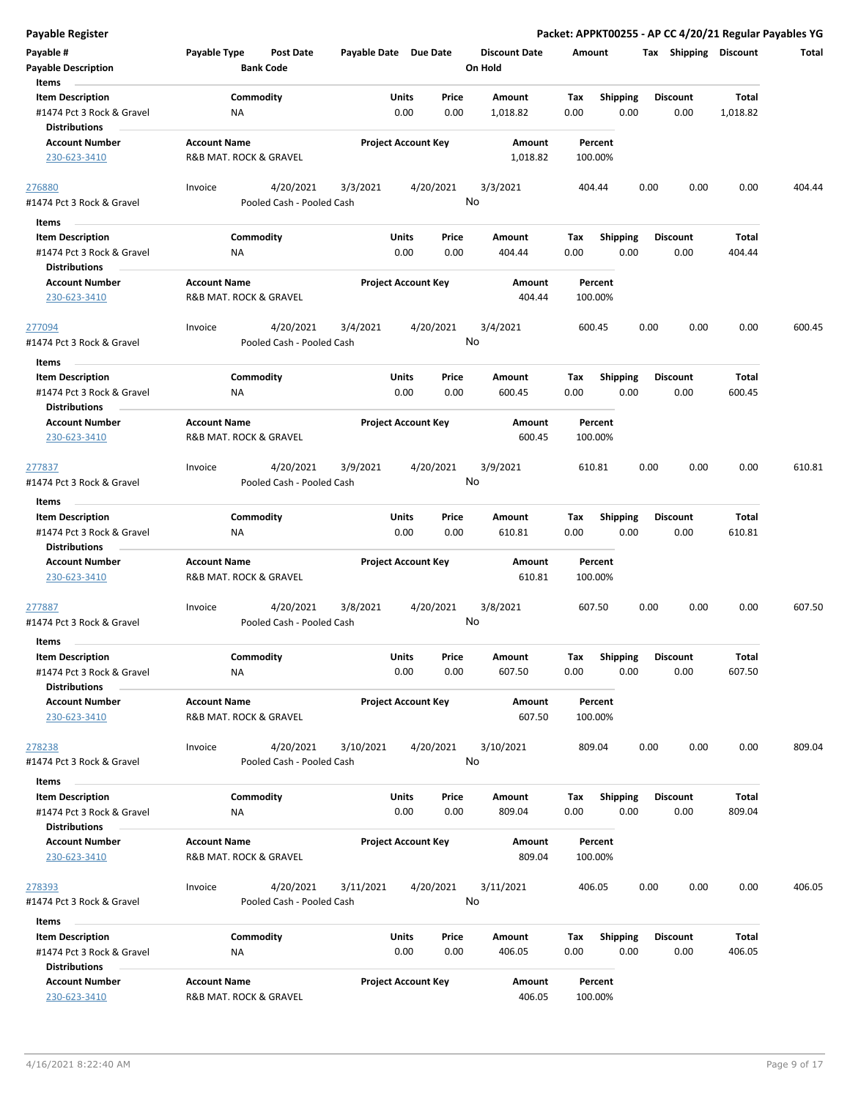**Payable Register Packet: APPKT00255 - AP CC 4/20/21 Regular Payables YG**

| Payable #                                         | Payable Type        | Post Date                 | Payable Date Due Date |                            | <b>Discount Date</b> | Amount  |                 |      | Tax Shipping    | Discount | Total  |
|---------------------------------------------------|---------------------|---------------------------|-----------------------|----------------------------|----------------------|---------|-----------------|------|-----------------|----------|--------|
| <b>Payable Description</b><br>Items<br>$\sim$     |                     | <b>Bank Code</b>          |                       |                            | On Hold              |         |                 |      |                 |          |        |
| <b>Item Description</b>                           |                     | Commodity                 |                       | Price<br>Units             | Amount               | Tax     | Shipping        |      | <b>Discount</b> | Total    |        |
| #1474 Pct 3 Rock & Gravel<br><b>Distributions</b> | ΝA                  |                           |                       | 0.00<br>0.00               | 1,018.82             | 0.00    | 0.00            |      | 0.00            | 1,018.82 |        |
| <b>Account Number</b>                             | <b>Account Name</b> |                           |                       | <b>Project Account Key</b> | Amount               | Percent |                 |      |                 |          |        |
| 230-623-3410                                      |                     | R&B MAT. ROCK & GRAVEL    |                       |                            | 1,018.82             | 100.00% |                 |      |                 |          |        |
| 276880                                            | Invoice             | 4/20/2021                 | 3/3/2021              | 4/20/2021                  | 3/3/2021             | 404.44  |                 | 0.00 | 0.00            | 0.00     | 404.44 |
| #1474 Pct 3 Rock & Gravel                         |                     | Pooled Cash - Pooled Cash |                       |                            | No                   |         |                 |      |                 |          |        |
| Items                                             |                     |                           |                       |                            |                      |         |                 |      |                 |          |        |
| <b>Item Description</b>                           |                     | Commodity                 |                       | Units<br>Price             | Amount               | Tax     | <b>Shipping</b> |      | <b>Discount</b> | Total    |        |
| #1474 Pct 3 Rock & Gravel<br><b>Distributions</b> | ΝA                  |                           |                       | 0.00<br>0.00               | 404.44               | 0.00    | 0.00            |      | 0.00            | 404.44   |        |
| <b>Account Number</b>                             | <b>Account Name</b> |                           |                       | <b>Project Account Key</b> | Amount               | Percent |                 |      |                 |          |        |
| 230-623-3410                                      |                     | R&B MAT. ROCK & GRAVEL    |                       |                            | 404.44               | 100.00% |                 |      |                 |          |        |
| 277094                                            | Invoice             | 4/20/2021                 | 3/4/2021              | 4/20/2021                  | 3/4/2021             | 600.45  |                 | 0.00 | 0.00            | 0.00     | 600.45 |
| #1474 Pct 3 Rock & Gravel                         |                     | Pooled Cash - Pooled Cash |                       |                            | No                   |         |                 |      |                 |          |        |
| Items                                             |                     |                           |                       |                            |                      |         |                 |      |                 |          |        |
| <b>Item Description</b>                           |                     | Commodity                 |                       | Units<br>Price             | Amount               | Tax     | <b>Shipping</b> |      | Discount        | Total    |        |
| #1474 Pct 3 Rock & Gravel<br><b>Distributions</b> | <b>NA</b>           |                           |                       | 0.00<br>0.00               | 600.45               | 0.00    | 0.00            |      | 0.00            | 600.45   |        |
| <b>Account Number</b>                             | <b>Account Name</b> |                           |                       | <b>Project Account Key</b> | Amount               | Percent |                 |      |                 |          |        |
| 230-623-3410                                      |                     | R&B MAT. ROCK & GRAVEL    |                       |                            | 600.45               | 100.00% |                 |      |                 |          |        |
| 277837                                            | Invoice             | 4/20/2021                 | 3/9/2021              | 4/20/2021                  | 3/9/2021             | 610.81  |                 | 0.00 | 0.00            | 0.00     | 610.81 |
| #1474 Pct 3 Rock & Gravel                         |                     | Pooled Cash - Pooled Cash |                       |                            | No                   |         |                 |      |                 |          |        |
| Items                                             |                     |                           |                       |                            |                      |         |                 |      |                 |          |        |
| <b>Item Description</b>                           |                     | Commodity                 |                       | Units<br>Price             | Amount               | Tax     | <b>Shipping</b> |      | <b>Discount</b> | Total    |        |
| #1474 Pct 3 Rock & Gravel<br><b>Distributions</b> | ΝA                  |                           |                       | 0.00<br>0.00               | 610.81               | 0.00    | 0.00            |      | 0.00            | 610.81   |        |
| <b>Account Number</b>                             | <b>Account Name</b> |                           |                       | <b>Project Account Key</b> | Amount               | Percent |                 |      |                 |          |        |
| 230-623-3410                                      |                     | R&B MAT. ROCK & GRAVEL    |                       |                            | 610.81               | 100.00% |                 |      |                 |          |        |
| 277887                                            | Invoice             | 4/20/2021                 | 3/8/2021              | 4/20/2021                  | 3/8/2021             | 607.50  |                 | 0.00 | 0.00            | 0.00     | 607.50 |
| #1474 Pct 3 Rock & Gravel                         |                     | Pooled Cash - Pooled Cash |                       |                            | No                   |         |                 |      |                 |          |        |
| Items<br><b>Item Description</b>                  |                     | Commodity                 |                       | Units<br>Price             | Amount               | Тах     | <b>Shipping</b> |      | <b>Discount</b> | Total    |        |
| #1474 Pct 3 Rock & Gravel                         | <b>NA</b>           |                           |                       | 0.00<br>0.00               | 607.50               | 0.00    | 0.00            |      | 0.00            | 607.50   |        |
| <b>Distributions</b>                              |                     |                           |                       |                            |                      |         |                 |      |                 |          |        |
| <b>Account Number</b>                             | <b>Account Name</b> |                           |                       | <b>Project Account Key</b> | Amount               | Percent |                 |      |                 |          |        |
| 230-623-3410                                      |                     | R&B MAT. ROCK & GRAVEL    |                       |                            | 607.50               | 100.00% |                 |      |                 |          |        |
| 278238                                            | Invoice             | 4/20/2021                 | 3/10/2021             | 4/20/2021                  | 3/10/2021            | 809.04  |                 | 0.00 | 0.00            | 0.00     | 809.04 |
| #1474 Pct 3 Rock & Gravel                         |                     | Pooled Cash - Pooled Cash |                       |                            | No                   |         |                 |      |                 |          |        |
| Items                                             |                     |                           |                       |                            |                      |         |                 |      |                 |          |        |
| <b>Item Description</b>                           |                     | Commodity                 |                       | Units<br>Price             | Amount               | Тах     | Shipping        |      | <b>Discount</b> | Total    |        |
| #1474 Pct 3 Rock & Gravel                         | ΝA                  |                           |                       | 0.00<br>0.00               | 809.04               | 0.00    | 0.00            |      | 0.00            | 809.04   |        |
| <b>Distributions</b>                              |                     |                           |                       |                            |                      |         |                 |      |                 |          |        |
| <b>Account Number</b>                             | <b>Account Name</b> |                           |                       | <b>Project Account Key</b> | Amount               | Percent |                 |      |                 |          |        |
| 230-623-3410                                      |                     | R&B MAT. ROCK & GRAVEL    |                       |                            | 809.04               | 100.00% |                 |      |                 |          |        |
| 278393                                            | Invoice             | 4/20/2021                 | 3/11/2021             | 4/20/2021                  | 3/11/2021            | 406.05  |                 | 0.00 | 0.00            | 0.00     | 406.05 |
| #1474 Pct 3 Rock & Gravel                         |                     | Pooled Cash - Pooled Cash |                       |                            | No                   |         |                 |      |                 |          |        |
| Items                                             |                     |                           |                       |                            |                      |         |                 |      |                 |          |        |
| <b>Item Description</b>                           |                     | Commodity                 |                       | Units<br>Price             | Amount               | Tax     | Shipping        |      | <b>Discount</b> | Total    |        |
| #1474 Pct 3 Rock & Gravel                         | ΝA                  |                           |                       | 0.00<br>0.00               | 406.05               | 0.00    | 0.00            |      | 0.00            | 406.05   |        |
| <b>Distributions</b>                              |                     |                           |                       |                            |                      |         |                 |      |                 |          |        |
| <b>Account Number</b>                             | <b>Account Name</b> |                           |                       | <b>Project Account Key</b> | Amount               | Percent |                 |      |                 |          |        |
| 230-623-3410                                      |                     | R&B MAT. ROCK & GRAVEL    |                       |                            | 406.05               | 100.00% |                 |      |                 |          |        |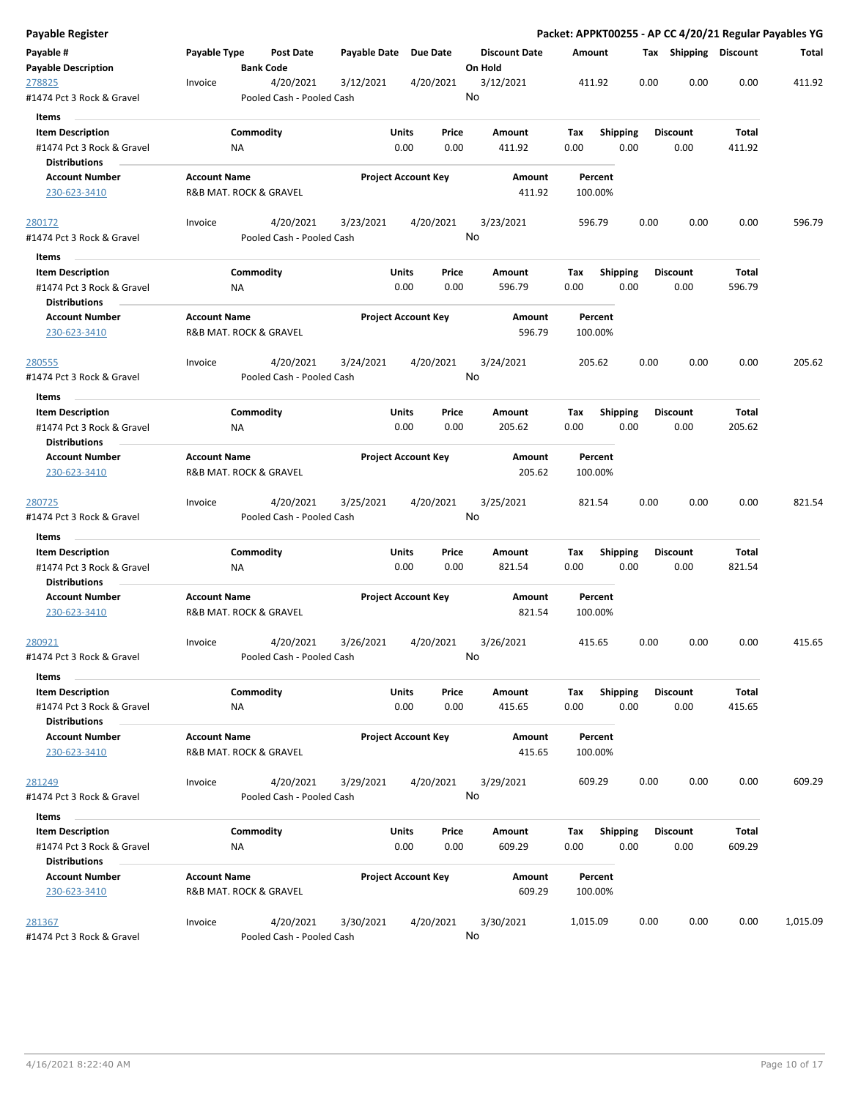| Payable Register                      |                     |                                        |                       |                            |                      |                    |                 |      |                       |        | Packet: APPKT00255 - AP CC 4/20/21 Regular Payables YG |
|---------------------------------------|---------------------|----------------------------------------|-----------------------|----------------------------|----------------------|--------------------|-----------------|------|-----------------------|--------|--------------------------------------------------------|
| Payable #                             | Payable Type        | Post Date                              | Payable Date Due Date |                            | <b>Discount Date</b> | Amount             |                 |      | Tax Shipping Discount |        | Total                                                  |
| <b>Payable Description</b>            |                     | <b>Bank Code</b>                       |                       |                            | On Hold              |                    |                 |      |                       |        |                                                        |
| 278825<br>#1474 Pct 3 Rock & Gravel   | Invoice             | 4/20/2021<br>Pooled Cash - Pooled Cash | 3/12/2021             | 4/20/2021                  | 3/12/2021<br>No      | 411.92             |                 | 0.00 | 0.00                  | 0.00   | 411.92                                                 |
| Items                                 |                     |                                        |                       |                            |                      |                    |                 |      |                       |        |                                                        |
| <b>Item Description</b>               |                     | Commodity                              |                       | Units<br>Price             | Amount               | Tax                | <b>Shipping</b> |      | <b>Discount</b>       | Total  |                                                        |
| #1474 Pct 3 Rock & Gravel             |                     | ΝA                                     |                       | 0.00<br>0.00               | 411.92               | 0.00               | 0.00            |      | 0.00                  | 411.92 |                                                        |
| <b>Distributions</b>                  |                     |                                        |                       |                            |                      |                    |                 |      |                       |        |                                                        |
| <b>Account Number</b>                 | <b>Account Name</b> |                                        |                       | <b>Project Account Key</b> | Amount               | Percent            |                 |      |                       |        |                                                        |
| 230-623-3410                          |                     | R&B MAT. ROCK & GRAVEL                 |                       |                            | 411.92               | 100.00%            |                 |      |                       |        |                                                        |
| 280172                                | Invoice             | 4/20/2021                              | 3/23/2021             | 4/20/2021                  | 3/23/2021            | 596.79             |                 | 0.00 | 0.00                  | 0.00   | 596.79                                                 |
| #1474 Pct 3 Rock & Gravel<br>Items    |                     | Pooled Cash - Pooled Cash              |                       |                            | No                   |                    |                 |      |                       |        |                                                        |
| <b>Item Description</b>               |                     | Commodity                              |                       | Units<br>Price             | Amount               | Tax                | <b>Shipping</b> |      | <b>Discount</b>       | Total  |                                                        |
| #1474 Pct 3 Rock & Gravel             |                     | ΝA                                     |                       | 0.00<br>0.00               | 596.79               | 0.00               | 0.00            |      | 0.00                  | 596.79 |                                                        |
| <b>Distributions</b>                  |                     |                                        |                       |                            |                      |                    |                 |      |                       |        |                                                        |
|                                       |                     |                                        |                       |                            |                      |                    |                 |      |                       |        |                                                        |
| <b>Account Number</b><br>230-623-3410 | <b>Account Name</b> | R&B MAT. ROCK & GRAVEL                 |                       | <b>Project Account Key</b> | Amount<br>596.79     | Percent<br>100.00% |                 |      |                       |        |                                                        |
| <u> 280555</u>                        | Invoice             | 4/20/2021                              | 3/24/2021             | 4/20/2021                  | 3/24/2021            | 205.62             |                 | 0.00 | 0.00                  | 0.00   | 205.62                                                 |
| #1474 Pct 3 Rock & Gravel             |                     | Pooled Cash - Pooled Cash              |                       |                            | No                   |                    |                 |      |                       |        |                                                        |
| Items                                 |                     |                                        |                       |                            |                      |                    |                 |      |                       |        |                                                        |
|                                       |                     | Commodity                              |                       | Units<br>Price             | Amount               | Tax                |                 |      | <b>Discount</b>       | Total  |                                                        |
| <b>Item Description</b>               |                     |                                        |                       |                            |                      |                    | <b>Shipping</b> |      |                       |        |                                                        |
| #1474 Pct 3 Rock & Gravel             |                     | ΝA                                     |                       | 0.00<br>0.00               | 205.62               | 0.00               | 0.00            |      | 0.00                  | 205.62 |                                                        |
| <b>Distributions</b>                  |                     |                                        |                       |                            |                      |                    |                 |      |                       |        |                                                        |
| <b>Account Number</b>                 | <b>Account Name</b> |                                        |                       | <b>Project Account Key</b> | Amount               | Percent            |                 |      |                       |        |                                                        |
| 230-623-3410                          |                     | R&B MAT. ROCK & GRAVEL                 |                       |                            | 205.62               | 100.00%            |                 |      |                       |        |                                                        |
| 280725                                | Invoice             | 4/20/2021                              | 3/25/2021             | 4/20/2021                  | 3/25/2021            | 821.54             |                 | 0.00 | 0.00                  | 0.00   | 821.54                                                 |
| #1474 Pct 3 Rock & Gravel             |                     | Pooled Cash - Pooled Cash              |                       |                            | No                   |                    |                 |      |                       |        |                                                        |
| Items                                 |                     |                                        |                       |                            |                      |                    |                 |      |                       |        |                                                        |
| <b>Item Description</b>               |                     | Commodity                              |                       | Units<br>Price             | Amount               | Tax                | Shipping        |      | <b>Discount</b>       | Total  |                                                        |
| #1474 Pct 3 Rock & Gravel             |                     | ΝA                                     |                       | 0.00<br>0.00               | 821.54               | 0.00               | 0.00            |      | 0.00                  | 821.54 |                                                        |
| <b>Distributions</b>                  |                     |                                        |                       |                            |                      |                    |                 |      |                       |        |                                                        |
| <b>Account Number</b><br>230-623-3410 | <b>Account Name</b> | R&B MAT. ROCK & GRAVEL                 |                       | <b>Project Account Key</b> | Amount<br>821.54     | Percent<br>100.00% |                 |      |                       |        |                                                        |
|                                       |                     |                                        |                       |                            |                      |                    |                 |      |                       |        |                                                        |
| 280921                                | Invoice             | 4/20/2021                              | 3/26/2021             | 4/20/2021                  | 3/26/2021            | 415.65             |                 | 0.00 | 0.00                  | 0.00   | 415.65                                                 |
| #1474 Pct 3 Rock & Gravel             |                     | Pooled Cash - Pooled Cash              |                       |                            | No                   |                    |                 |      |                       |        |                                                        |
| <b>Items</b>                          |                     |                                        |                       |                            |                      |                    |                 |      |                       |        |                                                        |
| <b>Item Description</b>               |                     | Commodity                              |                       | Units<br>Price             | Amount               | Tax                | Shipping        |      | Discount              | Total  |                                                        |
| #1474 Pct 3 Rock & Gravel             |                     | NA                                     |                       | 0.00<br>0.00               | 415.65               | 0.00               | 0.00            |      | 0.00                  | 415.65 |                                                        |
| <b>Distributions</b>                  |                     |                                        |                       |                            |                      |                    |                 |      |                       |        |                                                        |
| <b>Account Number</b>                 | <b>Account Name</b> |                                        |                       | <b>Project Account Key</b> | Amount               | Percent            |                 |      |                       |        |                                                        |
| 230-623-3410                          |                     | R&B MAT. ROCK & GRAVEL                 |                       |                            | 415.65               | 100.00%            |                 |      |                       |        |                                                        |
| 281249                                | Invoice             | 4/20/2021                              | 3/29/2021             | 4/20/2021                  | 3/29/2021            | 609.29             |                 | 0.00 | 0.00                  | 0.00   | 609.29                                                 |
| #1474 Pct 3 Rock & Gravel             |                     | Pooled Cash - Pooled Cash              |                       |                            | No                   |                    |                 |      |                       |        |                                                        |
|                                       |                     |                                        |                       |                            |                      |                    |                 |      |                       |        |                                                        |
| Items                                 |                     |                                        |                       |                            |                      |                    |                 |      |                       |        |                                                        |
| <b>Item Description</b>               |                     | Commodity                              |                       | Units<br>Price             | Amount               | Tax                | <b>Shipping</b> |      | <b>Discount</b>       | Total  |                                                        |
| #1474 Pct 3 Rock & Gravel             |                     | ΝA                                     |                       | 0.00<br>0.00               | 609.29               | 0.00               | 0.00            |      | 0.00                  | 609.29 |                                                        |
| <b>Distributions</b>                  |                     |                                        |                       |                            |                      |                    |                 |      |                       |        |                                                        |
| <b>Account Number</b>                 | <b>Account Name</b> |                                        |                       | <b>Project Account Key</b> | Amount               | Percent            |                 |      |                       |        |                                                        |
| 230-623-3410                          |                     | R&B MAT. ROCK & GRAVEL                 |                       |                            | 609.29               | 100.00%            |                 |      |                       |        |                                                        |
| 281367                                | Invoice             | 4/20/2021                              | 3/30/2021             | 4/20/2021                  | 3/30/2021            | 1,015.09           |                 | 0.00 | 0.00                  | 0.00   | 1,015.09                                               |
| #1474 Pct 3 Rock & Gravel             |                     | Pooled Cash - Pooled Cash              |                       |                            | No                   |                    |                 |      |                       |        |                                                        |
|                                       |                     |                                        |                       |                            |                      |                    |                 |      |                       |        |                                                        |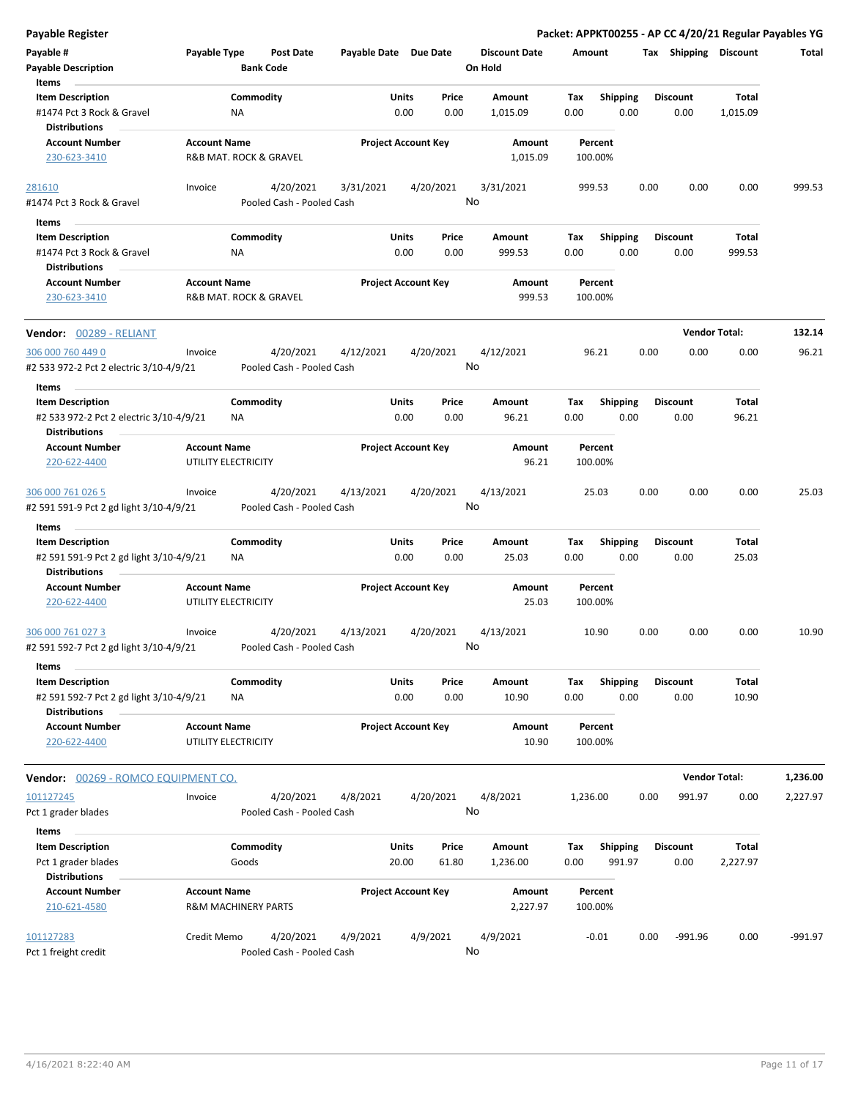| <b>Payable Register</b>                                         |                                               |                  |                                        |                       |                            |           |                      |          |                    |      |                       |                      | Packet: APPKT00255 - AP CC 4/20/21 Regular Payables YG |
|-----------------------------------------------------------------|-----------------------------------------------|------------------|----------------------------------------|-----------------------|----------------------------|-----------|----------------------|----------|--------------------|------|-----------------------|----------------------|--------------------------------------------------------|
| Payable #                                                       | Payable Type                                  |                  | Post Date                              | Payable Date Due Date |                            |           | <b>Discount Date</b> | Amount   |                    |      | Tax Shipping Discount |                      | Total                                                  |
| <b>Payable Description</b>                                      |                                               | <b>Bank Code</b> |                                        |                       |                            |           | On Hold              |          |                    |      |                       |                      |                                                        |
| Items                                                           |                                               |                  |                                        |                       |                            |           |                      |          |                    |      |                       |                      |                                                        |
| <b>Item Description</b>                                         |                                               | Commodity        |                                        |                       | Units                      | Price     | <b>Amount</b>        | Tax      | <b>Shipping</b>    |      | <b>Discount</b>       | Total                |                                                        |
| #1474 Pct 3 Rock & Gravel<br><b>Distributions</b>               |                                               | <b>NA</b>        |                                        |                       | 0.00                       | 0.00      | 1,015.09             | 0.00     | 0.00               |      | 0.00                  | 1,015.09             |                                                        |
| <b>Account Number</b>                                           | <b>Account Name</b>                           |                  |                                        |                       | <b>Project Account Key</b> |           | Amount               |          | Percent            |      |                       |                      |                                                        |
| 230-623-3410                                                    | R&B MAT. ROCK & GRAVEL                        |                  |                                        |                       |                            |           | 1,015.09             |          | 100.00%            |      |                       |                      |                                                        |
| 281610                                                          | Invoice                                       |                  | 4/20/2021                              | 3/31/2021             |                            | 4/20/2021 | 3/31/2021            |          | 999.53             | 0.00 | 0.00                  | 0.00                 | 999.53                                                 |
| #1474 Pct 3 Rock & Gravel                                       |                                               |                  | Pooled Cash - Pooled Cash              |                       |                            |           | No                   |          |                    |      |                       |                      |                                                        |
| Items                                                           |                                               |                  |                                        |                       |                            |           |                      |          |                    |      |                       |                      |                                                        |
| <b>Item Description</b>                                         |                                               | Commodity        |                                        |                       | Units                      | Price     | Amount               | Tax      | <b>Shipping</b>    |      | <b>Discount</b>       | Total                |                                                        |
| #1474 Pct 3 Rock & Gravel                                       |                                               | ΝA               |                                        |                       | 0.00                       | 0.00      | 999.53               | 0.00     | 0.00               |      | 0.00                  | 999.53               |                                                        |
| <b>Distributions</b>                                            |                                               |                  |                                        |                       |                            |           |                      |          |                    |      |                       |                      |                                                        |
| <b>Account Number</b><br>230-623-3410                           | <b>Account Name</b><br>R&B MAT. ROCK & GRAVEL |                  |                                        |                       | <b>Project Account Key</b> |           | Amount<br>999.53     |          | Percent<br>100.00% |      |                       |                      |                                                        |
| Vendor: 00289 - RELIANT                                         |                                               |                  |                                        |                       |                            |           |                      |          |                    |      |                       | <b>Vendor Total:</b> | 132.14                                                 |
| 306 000 760 449 0<br>#2 533 972-2 Pct 2 electric 3/10-4/9/21    | Invoice                                       |                  | 4/20/2021<br>Pooled Cash - Pooled Cash | 4/12/2021             |                            | 4/20/2021 | 4/12/2021<br>No      |          | 96.21              | 0.00 | 0.00                  | 0.00                 | 96.21                                                  |
| Items                                                           |                                               |                  |                                        |                       |                            |           |                      |          |                    |      |                       |                      |                                                        |
| <b>Item Description</b>                                         |                                               | Commodity        |                                        |                       | Units                      | Price     | Amount               | Tax      | <b>Shipping</b>    |      | <b>Discount</b>       | Total                |                                                        |
| #2 533 972-2 Pct 2 electric 3/10-4/9/21                         |                                               | ΝA               |                                        |                       | 0.00                       | 0.00      | 96.21                | 0.00     | 0.00               |      | 0.00                  | 96.21                |                                                        |
| <b>Distributions</b>                                            |                                               |                  |                                        |                       |                            |           |                      |          |                    |      |                       |                      |                                                        |
| <b>Account Number</b><br>220-622-4400                           | <b>Account Name</b><br>UTILITY ELECTRICITY    |                  |                                        |                       | <b>Project Account Key</b> |           | Amount<br>96.21      |          | Percent<br>100.00% |      |                       |                      |                                                        |
| 306 000 761 026 5                                               | Invoice                                       |                  | 4/20/2021                              | 4/13/2021             |                            | 4/20/2021 | 4/13/2021            |          | 25.03              | 0.00 | 0.00                  | 0.00                 | 25.03                                                  |
| #2 591 591-9 Pct 2 gd light 3/10-4/9/21                         |                                               |                  | Pooled Cash - Pooled Cash              |                       |                            |           | No                   |          |                    |      |                       |                      |                                                        |
| Items                                                           |                                               |                  |                                        |                       |                            |           |                      |          |                    |      |                       |                      |                                                        |
| <b>Item Description</b>                                         |                                               | Commodity        |                                        |                       | Units                      | Price     | Amount               | Tax      | <b>Shipping</b>    |      | <b>Discount</b>       | Total                |                                                        |
| #2 591 591-9 Pct 2 gd light 3/10-4/9/21                         |                                               | ΝA               |                                        |                       | 0.00                       | 0.00      | 25.03                | 0.00     | 0.00               |      | 0.00                  | 25.03                |                                                        |
| <b>Distributions</b>                                            |                                               |                  |                                        |                       |                            |           |                      |          |                    |      |                       |                      |                                                        |
| <b>Account Number</b>                                           | <b>Account Name</b>                           |                  |                                        |                       | <b>Project Account Key</b> |           | Amount               |          | Percent            |      |                       |                      |                                                        |
| 220-622-4400                                                    | UTILITY ELECTRICITY                           |                  |                                        |                       |                            |           | 25.03                |          | 100.00%            |      |                       |                      |                                                        |
| 306 000 761 027 3                                               | Invoice                                       |                  | 4/20/2021                              | 4/13/2021             |                            | 4/20/2021 | 4/13/2021            |          | 10.90              | 0.00 | 0.00                  | 0.00                 | 10.90                                                  |
| #2 591 592-7 Pct 2 gd light 3/10-4/9/21                         |                                               |                  | Pooled Cash - Pooled Cash              |                       |                            |           | No                   |          |                    |      |                       |                      |                                                        |
| Items                                                           |                                               |                  |                                        |                       |                            |           |                      |          |                    |      |                       |                      |                                                        |
| <b>Item Description</b>                                         |                                               | Commodity        |                                        |                       | Units                      | Price     | Amount               | Tax      | <b>Shipping</b>    |      | <b>Discount</b>       | Total                |                                                        |
| #2 591 592-7 Pct 2 gd light 3/10-4/9/21<br><b>Distributions</b> |                                               | ΝA               |                                        |                       | 0.00                       | 0.00      | 10.90                | 0.00     | 0.00               |      | 0.00                  | 10.90                |                                                        |
| <b>Account Number</b><br>220-622-4400                           | <b>Account Name</b><br>UTILITY ELECTRICITY    |                  |                                        |                       | <b>Project Account Key</b> |           | Amount<br>10.90      |          | Percent<br>100.00% |      |                       |                      |                                                        |
| <b>Vendor: 00269 - ROMCO EQUIPMENT CO.</b>                      |                                               |                  |                                        |                       |                            |           |                      |          |                    |      |                       | <b>Vendor Total:</b> | 1,236.00                                               |
| 101127245                                                       | Invoice                                       |                  | 4/20/2021                              | 4/8/2021              |                            | 4/20/2021 | 4/8/2021             | 1,236.00 |                    | 0.00 | 991.97                | 0.00                 | 2,227.97                                               |
| Pct 1 grader blades                                             |                                               |                  | Pooled Cash - Pooled Cash              |                       |                            |           | No                   |          |                    |      |                       |                      |                                                        |
| Items                                                           |                                               |                  |                                        |                       |                            |           |                      |          |                    |      |                       |                      |                                                        |
| <b>Item Description</b>                                         |                                               | Commodity        |                                        |                       | Units                      | Price     | Amount               | Tax      | <b>Shipping</b>    |      | <b>Discount</b>       | Total                |                                                        |
| Pct 1 grader blades<br><b>Distributions</b>                     |                                               | Goods            |                                        |                       | 20.00                      | 61.80     | 1,236.00             | 0.00     | 991.97             |      | 0.00                  | 2,227.97             |                                                        |
| <b>Account Number</b>                                           | <b>Account Name</b>                           |                  |                                        |                       | <b>Project Account Key</b> |           | Amount               |          | Percent            |      |                       |                      |                                                        |
| 210-621-4580                                                    | R&M MACHINERY PARTS                           |                  |                                        |                       |                            |           | 2,227.97             |          | 100.00%            |      |                       |                      |                                                        |
| 101127283                                                       | Credit Memo                                   |                  | 4/20/2021                              | 4/9/2021              |                            | 4/9/2021  | 4/9/2021             |          | $-0.01$            | 0.00 | $-991.96$             | 0.00                 | -991.97                                                |
| Pct 1 freight credit                                            |                                               |                  | Pooled Cash - Pooled Cash              |                       |                            |           | No                   |          |                    |      |                       |                      |                                                        |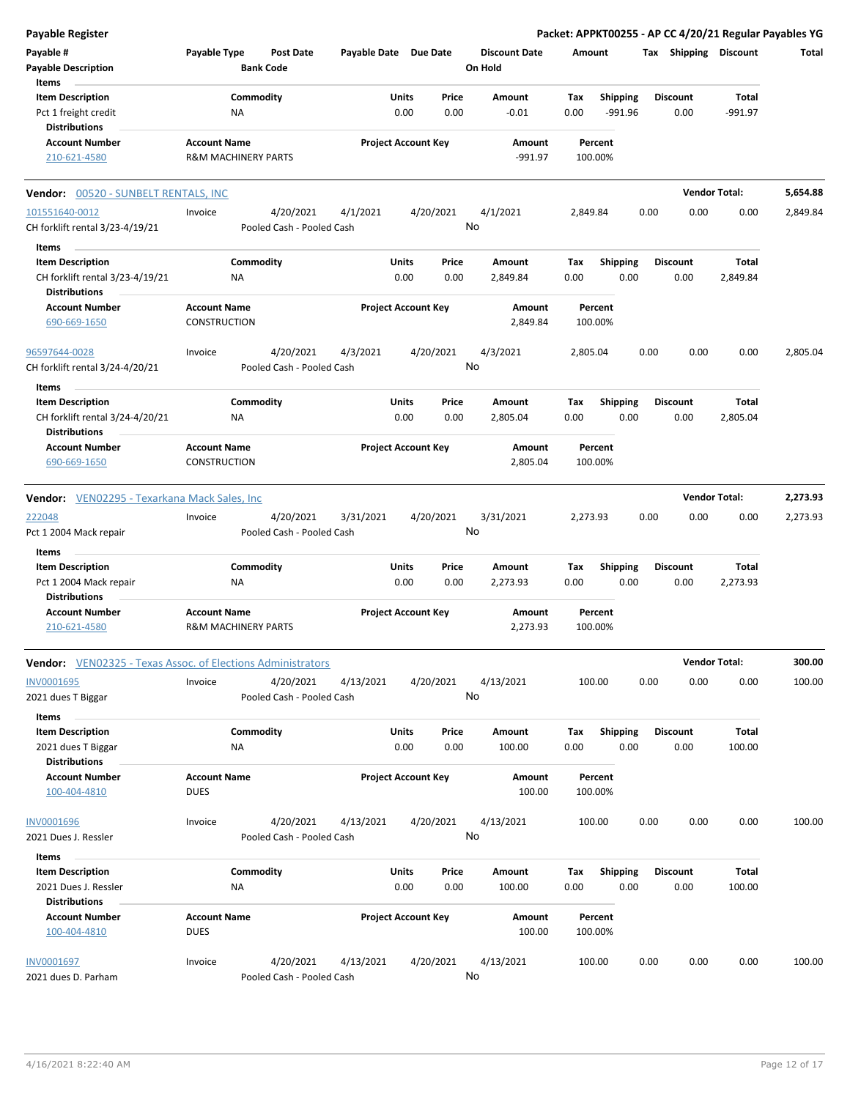| <b>Payable Register</b>                                                            |                                                       |                                        |           |                                |                                 |                    |                         |                 |      | Packet: APPKT00255 - AP CC 4/20/21 Regular Payables YG |          |
|------------------------------------------------------------------------------------|-------------------------------------------------------|----------------------------------------|-----------|--------------------------------|---------------------------------|--------------------|-------------------------|-----------------|------|--------------------------------------------------------|----------|
| Payable #<br><b>Payable Description</b>                                            | Payable Type                                          | <b>Post Date</b><br><b>Bank Code</b>   |           | Payable Date Due Date          | <b>Discount Date</b><br>On Hold | Amount             |                         |                 |      | Tax Shipping Discount                                  | Total    |
| Items<br><b>Item Description</b>                                                   |                                                       | Commodity                              |           | Units<br>Price                 | Amount                          | Tax                | <b>Shipping</b>         | <b>Discount</b> |      | Total                                                  |          |
| Pct 1 freight credit<br><b>Distributions</b>                                       | NA                                                    |                                        |           | 0.00<br>0.00                   | $-0.01$                         | 0.00               | $-991.96$               |                 | 0.00 | $-991.97$                                              |          |
| <b>Account Number</b><br>210-621-4580                                              | <b>Account Name</b><br><b>R&amp;M MACHINERY PARTS</b> |                                        |           | <b>Project Account Key</b>     | Amount<br>-991.97               | Percent<br>100.00% |                         |                 |      |                                                        |          |
| <b>Vendor: 00520 - SUNBELT RENTALS, INC</b>                                        |                                                       |                                        |           |                                |                                 |                    |                         |                 |      | <b>Vendor Total:</b>                                   | 5,654.88 |
| 101551640-0012                                                                     | Invoice                                               | 4/20/2021                              | 4/1/2021  | 4/20/2021                      | 4/1/2021                        | 2,849.84           |                         | 0.00            | 0.00 | 0.00                                                   | 2,849.84 |
| CH forklift rental 3/23-4/19/21                                                    |                                                       | Pooled Cash - Pooled Cash              |           |                                | No                              |                    |                         |                 |      |                                                        |          |
| Items                                                                              |                                                       |                                        |           |                                |                                 |                    |                         |                 |      |                                                        |          |
| <b>Item Description</b>                                                            |                                                       | Commodity                              |           | Units<br>Price                 | Amount                          | Tax                | <b>Shipping</b>         | <b>Discount</b> |      | Total                                                  |          |
| CH forklift rental 3/23-4/19/21<br><b>Distributions</b>                            | NA                                                    |                                        |           | 0.00<br>0.00                   | 2,849.84                        | 0.00               | 0.00                    |                 | 0.00 | 2,849.84                                               |          |
| <b>Account Number</b><br>690-669-1650                                              | <b>Account Name</b><br>CONSTRUCTION                   |                                        |           | <b>Project Account Key</b>     | Amount<br>2,849.84              | Percent<br>100.00% |                         |                 |      |                                                        |          |
| 96597644-0028<br>CH forklift rental 3/24-4/20/21                                   | Invoice                                               | 4/20/2021<br>Pooled Cash - Pooled Cash | 4/3/2021  | 4/20/2021                      | 4/3/2021<br>No                  | 2,805.04           |                         | 0.00            | 0.00 | 0.00                                                   | 2,805.04 |
|                                                                                    |                                                       |                                        |           |                                |                                 |                    |                         |                 |      |                                                        |          |
| Items                                                                              |                                                       |                                        |           | Units                          |                                 |                    |                         | <b>Discount</b> |      | Total                                                  |          |
| <b>Item Description</b><br>CH forklift rental 3/24-4/20/21<br><b>Distributions</b> | ΝA                                                    | Commodity                              |           | Price<br>0.00<br>0.00          | Amount<br>2,805.04              | Tax<br>0.00        | <b>Shipping</b><br>0.00 |                 | 0.00 | 2,805.04                                               |          |
| <b>Account Number</b><br>690-669-1650                                              | <b>Account Name</b><br>CONSTRUCTION                   |                                        |           | <b>Project Account Key</b>     | Amount<br>2,805.04              | Percent<br>100.00% |                         |                 |      |                                                        |          |
| <b>Vendor:</b> VEN02295 - Texarkana Mack Sales, Inc                                |                                                       |                                        |           |                                |                                 |                    |                         |                 |      | <b>Vendor Total:</b>                                   | 2,273.93 |
| 222048                                                                             | Invoice                                               | 4/20/2021                              | 3/31/2021 | 4/20/2021                      | 3/31/2021                       | 2,273.93           |                         | 0.00            | 0.00 | 0.00                                                   | 2,273.93 |
| Pct 1 2004 Mack repair                                                             |                                                       | Pooled Cash - Pooled Cash              |           |                                | No                              |                    |                         |                 |      |                                                        |          |
| Items<br><b>Item Description</b>                                                   |                                                       | Commodity                              |           | Units<br>Price                 | Amount                          | Tax                | <b>Shipping</b>         | <b>Discount</b> |      | Total                                                  |          |
| Pct 1 2004 Mack repair<br><b>Distributions</b>                                     | NA                                                    |                                        |           | 0.00<br>0.00                   | 2,273.93                        | 0.00               | 0.00                    |                 | 0.00 | 2,273.93                                               |          |
| <b>Account Number</b><br>210-621-4580                                              | <b>Account Name</b><br><b>R&amp;M MACHINERY PARTS</b> |                                        |           | <b>Project Account Key</b>     | Amount<br>2,273.93              | Percent<br>100.00% |                         |                 |      |                                                        |          |
| <b>Vendor:</b> VEN02325 - Texas Assoc. of Elections Administrators                 |                                                       |                                        |           |                                |                                 |                    |                         |                 |      | <b>Vendor Total:</b>                                   | 300.00   |
| INV0001695<br>2021 dues T Biggar                                                   | Invoice                                               | 4/20/2021<br>Pooled Cash - Pooled Cash | 4/13/2021 | 4/20/2021                      | 4/13/2021<br>No                 | 100.00             |                         | 0.00            | 0.00 | 0.00                                                   | 100.00   |
| Items                                                                              |                                                       |                                        |           |                                |                                 |                    |                         |                 |      |                                                        |          |
| <b>Item Description</b><br>2021 dues T Biggar                                      | ΝA                                                    | Commodity                              |           | Units<br>Price<br>0.00<br>0.00 | Amount<br>100.00                | Tax<br>0.00        | <b>Shipping</b><br>0.00 | <b>Discount</b> | 0.00 | Total<br>100.00                                        |          |
| <b>Distributions</b>                                                               |                                                       |                                        |           |                                |                                 |                    |                         |                 |      |                                                        |          |
| <b>Account Number</b><br>100-404-4810                                              | <b>Account Name</b><br><b>DUES</b>                    |                                        |           | <b>Project Account Key</b>     | Amount<br>100.00                | Percent<br>100.00% |                         |                 |      |                                                        |          |
| INV0001696                                                                         | Invoice                                               | 4/20/2021                              | 4/13/2021 | 4/20/2021                      | 4/13/2021<br>No                 | 100.00             |                         | 0.00            | 0.00 | 0.00                                                   | 100.00   |
| 2021 Dues J. Ressler                                                               |                                                       | Pooled Cash - Pooled Cash              |           |                                |                                 |                    |                         |                 |      |                                                        |          |
| Items                                                                              |                                                       |                                        |           |                                |                                 |                    |                         |                 |      |                                                        |          |
| <b>Item Description</b><br>2021 Dues J. Ressler                                    | NA                                                    | Commodity                              |           | Units<br>Price<br>0.00<br>0.00 | Amount<br>100.00                | Tax<br>0.00        | <b>Shipping</b><br>0.00 | <b>Discount</b> | 0.00 | Total<br>100.00                                        |          |
| <b>Distributions</b><br><b>Account Number</b><br>100-404-4810                      | <b>Account Name</b><br><b>DUES</b>                    |                                        |           | <b>Project Account Key</b>     | Amount<br>100.00                | Percent<br>100.00% |                         |                 |      |                                                        |          |
| INV0001697<br>2021 dues D. Parham                                                  | Invoice                                               | 4/20/2021<br>Pooled Cash - Pooled Cash | 4/13/2021 | 4/20/2021                      | 4/13/2021<br>No                 | 100.00             |                         | 0.00            | 0.00 | 0.00                                                   | 100.00   |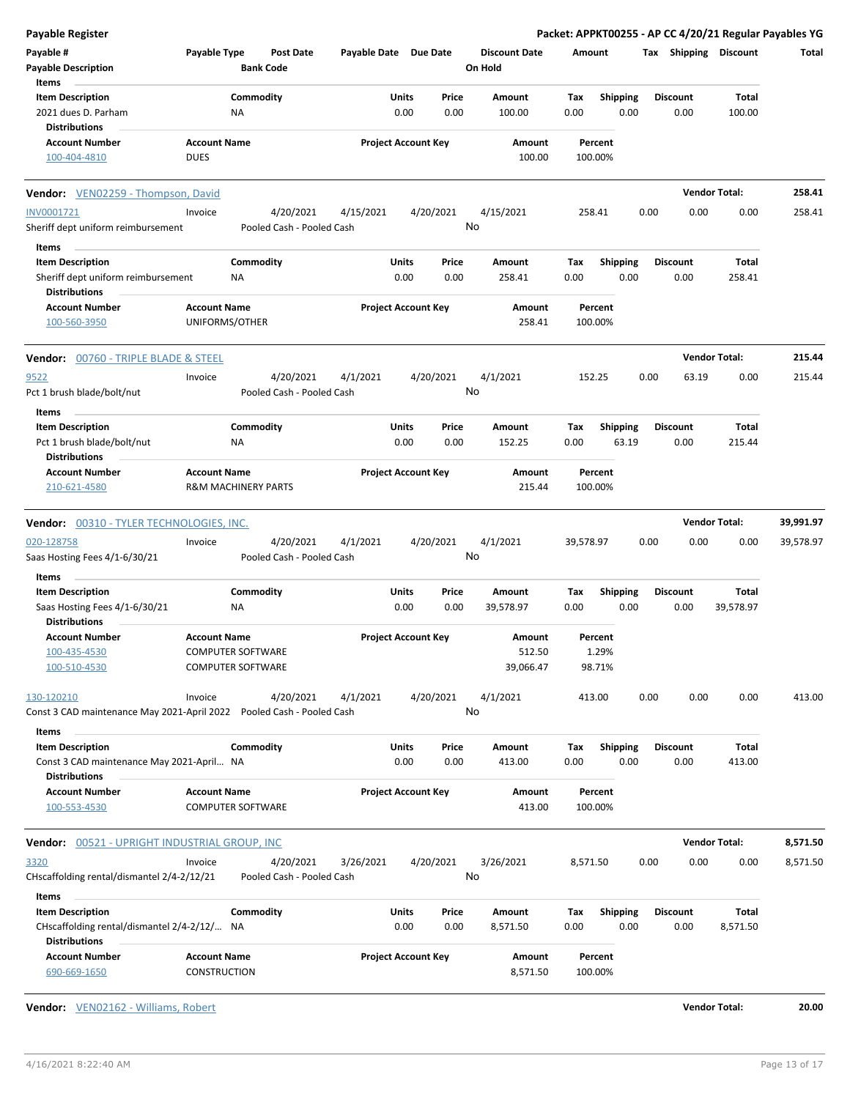| <b>Payable Register</b>                                                |                                            |                                               |                           |                       |                            |           |                                 |           |                    |      |                 | Packet: APPKT00255 - AP CC 4/20/21 Regular Payables YG |                      |
|------------------------------------------------------------------------|--------------------------------------------|-----------------------------------------------|---------------------------|-----------------------|----------------------------|-----------|---------------------------------|-----------|--------------------|------|-----------------|--------------------------------------------------------|----------------------|
| Payable #<br><b>Payable Description</b>                                | Payable Type                               | <b>Bank Code</b>                              | Post Date                 | Payable Date Due Date |                            |           | <b>Discount Date</b><br>On Hold | Amount    |                    |      |                 | Tax Shipping Discount                                  | Total                |
| Items                                                                  |                                            |                                               |                           |                       |                            |           |                                 |           |                    |      |                 |                                                        |                      |
| <b>Item Description</b>                                                |                                            | Commodity                                     |                           |                       | Units                      | Price     | Amount                          | Tax       | <b>Shipping</b>    |      | <b>Discount</b> | Total                                                  |                      |
| 2021 dues D. Parham                                                    |                                            | ΝA                                            |                           |                       | 0.00                       | 0.00      | 100.00                          | 0.00      | 0.00               |      | 0.00            | 100.00                                                 |                      |
| <b>Distributions</b>                                                   |                                            |                                               |                           |                       |                            |           |                                 |           |                    |      |                 |                                                        |                      |
| <b>Account Number</b>                                                  | <b>Account Name</b>                        |                                               |                           |                       | <b>Project Account Key</b> |           | Amount                          |           | Percent            |      |                 |                                                        |                      |
| 100-404-4810                                                           | <b>DUES</b>                                |                                               |                           |                       |                            |           | 100.00                          |           | 100.00%            |      |                 |                                                        |                      |
| <b>Vendor:</b> VEN02259 - Thompson, David                              |                                            |                                               |                           |                       |                            |           |                                 |           |                    |      |                 | <b>Vendor Total:</b>                                   | 258.41               |
| INV0001721                                                             | Invoice                                    |                                               | 4/20/2021                 | 4/15/2021             |                            | 4/20/2021 | 4/15/2021                       |           | 258.41             | 0.00 | 0.00            | 0.00                                                   | 258.41               |
| Sheriff dept uniform reimbursement                                     |                                            |                                               | Pooled Cash - Pooled Cash |                       |                            | No        |                                 |           |                    |      |                 |                                                        |                      |
| Items                                                                  |                                            |                                               |                           |                       |                            |           |                                 |           |                    |      |                 |                                                        |                      |
| <b>Item Description</b>                                                |                                            | Commodity                                     |                           |                       | Units                      | Price     | Amount                          | Tax       | <b>Shipping</b>    |      | <b>Discount</b> | Total                                                  |                      |
| Sheriff dept uniform reimbursement<br><b>Distributions</b>             |                                            | ΝA                                            |                           |                       | 0.00                       | 0.00      | 258.41                          | 0.00      | 0.00               |      | 0.00            | 258.41                                                 |                      |
| <b>Account Number</b>                                                  | <b>Account Name</b>                        |                                               |                           |                       | <b>Project Account Key</b> |           | Amount                          |           | Percent            |      |                 |                                                        |                      |
| 100-560-3950                                                           | UNIFORMS/OTHER                             |                                               |                           |                       |                            |           | 258.41                          |           | 100.00%            |      |                 |                                                        |                      |
| <b>Vendor: 00760 - TRIPLE BLADE &amp; STEEL</b>                        |                                            |                                               |                           |                       |                            |           |                                 |           |                    |      |                 | <b>Vendor Total:</b>                                   | 215.44               |
| 9522                                                                   | Invoice                                    |                                               | 4/20/2021                 | 4/1/2021              |                            | 4/20/2021 | 4/1/2021                        |           | 152.25             | 0.00 | 63.19           | 0.00                                                   | 215.44               |
| Pct 1 brush blade/bolt/nut                                             |                                            |                                               | Pooled Cash - Pooled Cash |                       |                            | No        |                                 |           |                    |      |                 |                                                        |                      |
| Items                                                                  |                                            |                                               |                           |                       |                            |           |                                 |           |                    |      |                 |                                                        |                      |
| <b>Item Description</b>                                                |                                            | Commodity                                     |                           |                       | Units                      | Price     | Amount                          | Tax       | <b>Shipping</b>    |      | <b>Discount</b> | Total                                                  |                      |
| Pct 1 brush blade/bolt/nut                                             |                                            | NA                                            |                           |                       | 0.00                       | 0.00      | 152.25                          | 0.00      | 63.19              |      | 0.00            | 215.44                                                 |                      |
| <b>Distributions</b>                                                   |                                            |                                               |                           |                       |                            |           |                                 |           |                    |      |                 |                                                        |                      |
| <b>Account Number</b>                                                  | <b>Account Name</b>                        |                                               |                           |                       | <b>Project Account Key</b> |           | Amount                          |           | Percent            |      |                 |                                                        |                      |
| 210-621-4580                                                           |                                            | <b>R&amp;M MACHINERY PARTS</b>                |                           |                       |                            |           | 215.44                          |           | 100.00%            |      |                 |                                                        |                      |
| Vendor: 00310 - TYLER TECHNOLOGIES, INC.                               |                                            |                                               |                           |                       |                            |           |                                 |           |                    |      |                 | <b>Vendor Total:</b>                                   | 39,991.97            |
| 020-128758                                                             | Invoice                                    |                                               | 4/20/2021                 | 4/1/2021              |                            | 4/20/2021 | 4/1/2021                        | 39,578.97 |                    | 0.00 | 0.00            | 0.00                                                   | 39,578.97            |
| Saas Hosting Fees 4/1-6/30/21                                          |                                            |                                               | Pooled Cash - Pooled Cash |                       |                            | No        |                                 |           |                    |      |                 |                                                        |                      |
| Items                                                                  |                                            |                                               |                           |                       |                            |           |                                 |           |                    |      |                 |                                                        |                      |
| <b>Item Description</b>                                                |                                            | Commodity                                     |                           |                       | Units                      | Price     | Amount                          | Tax       | <b>Shipping</b>    |      | <b>Discount</b> | Total                                                  |                      |
| Saas Hosting Fees 4/1-6/30/21                                          |                                            | NA                                            |                           |                       | 0.00                       | 0.00      | 39,578.97                       | 0.00      | 0.00               |      | 0.00            | 39,578.97                                              |                      |
| <b>Distributions</b>                                                   |                                            |                                               |                           |                       |                            |           |                                 |           |                    |      |                 |                                                        |                      |
| <b>Account Number</b>                                                  | <b>Account Name</b>                        |                                               |                           |                       | <b>Project Account Key</b> |           | Amount                          |           | Percent            |      |                 |                                                        |                      |
| <u>100-435-4530</u>                                                    |                                            |                                               |                           |                       |                            |           | 512.50                          |           | 1.29%              |      |                 |                                                        |                      |
| 100-510-4530                                                           |                                            | COMPUTER SOFTWARE<br><b>COMPUTER SOFTWARE</b> |                           |                       |                            |           | 39,066.47                       |           | 98.71%             |      |                 |                                                        |                      |
|                                                                        |                                            |                                               |                           |                       |                            |           |                                 |           |                    |      |                 |                                                        |                      |
| 130-120210                                                             | Invoice                                    |                                               | 4/20/2021                 | 4/1/2021              |                            | 4/20/2021 | 4/1/2021                        |           | 413.00             | 0.00 | 0.00            | 0.00                                                   | 413.00               |
| Const 3 CAD maintenance May 2021-April 2022  Pooled Cash - Pooled Cash |                                            |                                               |                           |                       |                            | No        |                                 |           |                    |      |                 |                                                        |                      |
|                                                                        |                                            |                                               |                           |                       |                            |           |                                 |           |                    |      |                 |                                                        |                      |
| Items                                                                  |                                            |                                               |                           |                       |                            |           |                                 |           |                    |      |                 |                                                        |                      |
| <b>Item Description</b>                                                |                                            | Commodity                                     |                           |                       | Units                      | Price     | Amount                          | Тах       | <b>Shipping</b>    |      | <b>Discount</b> | Total                                                  |                      |
| Const 3 CAD maintenance May 2021-April NA                              |                                            |                                               |                           |                       | 0.00                       | 0.00      | 413.00                          | 0.00      | 0.00               |      | 0.00            | 413.00                                                 |                      |
| <b>Distributions</b>                                                   |                                            |                                               |                           |                       |                            |           |                                 |           |                    |      |                 |                                                        |                      |
| <b>Account Number</b>                                                  | <b>Account Name</b>                        |                                               |                           |                       | <b>Project Account Key</b> |           | Amount                          |           | Percent            |      |                 |                                                        |                      |
| 100-553-4530                                                           |                                            |                                               |                           |                       |                            |           | 413.00                          |           | 100.00%            |      |                 |                                                        |                      |
|                                                                        | <b>COMPUTER SOFTWARE</b>                   |                                               |                           |                       |                            |           |                                 |           |                    |      |                 |                                                        |                      |
| <b>Vendor: 00521 - UPRIGHT INDUSTRIAL GROUP, INC</b>                   |                                            |                                               |                           |                       |                            |           |                                 |           |                    |      |                 | <b>Vendor Total:</b>                                   |                      |
| 3320                                                                   | Invoice                                    |                                               | 4/20/2021                 | 3/26/2021             |                            | 4/20/2021 | 3/26/2021                       | 8,571.50  |                    | 0.00 | 0.00            | 0.00                                                   | 8,571.50<br>8,571.50 |
| CHscaffolding rental/dismantel 2/4-2/12/21                             |                                            |                                               | Pooled Cash - Pooled Cash |                       |                            | No        |                                 |           |                    |      |                 |                                                        |                      |
|                                                                        |                                            |                                               |                           |                       |                            |           |                                 |           |                    |      |                 |                                                        |                      |
| Items                                                                  |                                            |                                               |                           |                       |                            |           |                                 |           |                    |      |                 |                                                        |                      |
| <b>Item Description</b>                                                |                                            | Commodity                                     |                           |                       | Units                      | Price     | Amount                          | Tax       | <b>Shipping</b>    |      | <b>Discount</b> | Total                                                  |                      |
| CHscaffolding rental/dismantel 2/4-2/12/ NA                            |                                            |                                               |                           |                       | 0.00                       | 0.00      | 8,571.50                        | 0.00      | 0.00               |      | 0.00            | 8,571.50                                               |                      |
| <b>Distributions</b>                                                   |                                            |                                               |                           |                       |                            |           |                                 |           |                    |      |                 |                                                        |                      |
| <b>Account Number</b><br>690-669-1650                                  | <b>Account Name</b><br><b>CONSTRUCTION</b> |                                               |                           |                       | <b>Project Account Key</b> |           | Amount<br>8,571.50              |           | Percent<br>100.00% |      |                 |                                                        |                      |

**Vendor:** VEN02162 - Williams, Robert **Vendor Total: 20.00**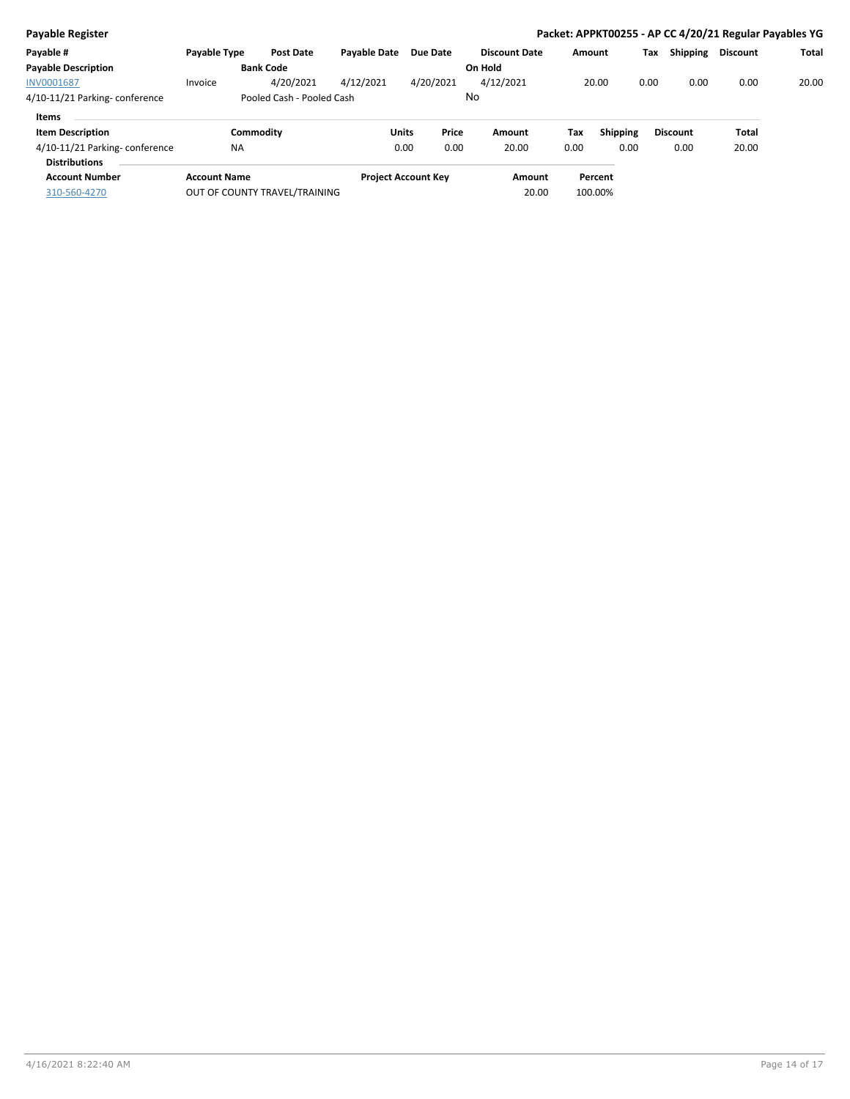| <b>Payable Register</b>       |                     |                               |                            |              |                 |                      |        |                 |      |                 | Packet: APPKT00255 - AP CC 4/20/21 Regular Payables YG |       |
|-------------------------------|---------------------|-------------------------------|----------------------------|--------------|-----------------|----------------------|--------|-----------------|------|-----------------|--------------------------------------------------------|-------|
| Payable #                     | Payable Type        | <b>Post Date</b>              | Payable Date               |              | <b>Due Date</b> | <b>Discount Date</b> | Amount |                 | Тах  | Shipping        | <b>Discount</b>                                        | Total |
| <b>Payable Description</b>    |                     | <b>Bank Code</b>              |                            |              |                 | On Hold              |        |                 |      |                 |                                                        |       |
| INV0001687                    | Invoice             | 4/20/2021                     | 4/12/2021                  |              | 4/20/2021       | 4/12/2021            |        | 20.00           | 0.00 | 0.00            | 0.00                                                   | 20.00 |
| 4/10-11/21 Parking-conference |                     | Pooled Cash - Pooled Cash     |                            |              |                 | No                   |        |                 |      |                 |                                                        |       |
| Items                         |                     |                               |                            |              |                 |                      |        |                 |      |                 |                                                        |       |
| <b>Item Description</b>       |                     | Commodity                     |                            | <b>Units</b> | Price           | Amount               | Tax    | <b>Shipping</b> |      | <b>Discount</b> | Total                                                  |       |
| 4/10-11/21 Parking-conference | <b>NA</b>           |                               |                            | 0.00         | 0.00            | 20.00                | 0.00   | 0.00            |      | 0.00            | 20.00                                                  |       |
| <b>Distributions</b>          |                     |                               |                            |              |                 |                      |        |                 |      |                 |                                                        |       |
| <b>Account Number</b>         | <b>Account Name</b> |                               | <b>Project Account Key</b> |              |                 | Amount               |        | Percent         |      |                 |                                                        |       |
| 310-560-4270                  |                     | OUT OF COUNTY TRAVEL/TRAINING |                            |              |                 | 20.00                |        | 100.00%         |      |                 |                                                        |       |
|                               |                     |                               |                            |              |                 |                      |        |                 |      |                 |                                                        |       |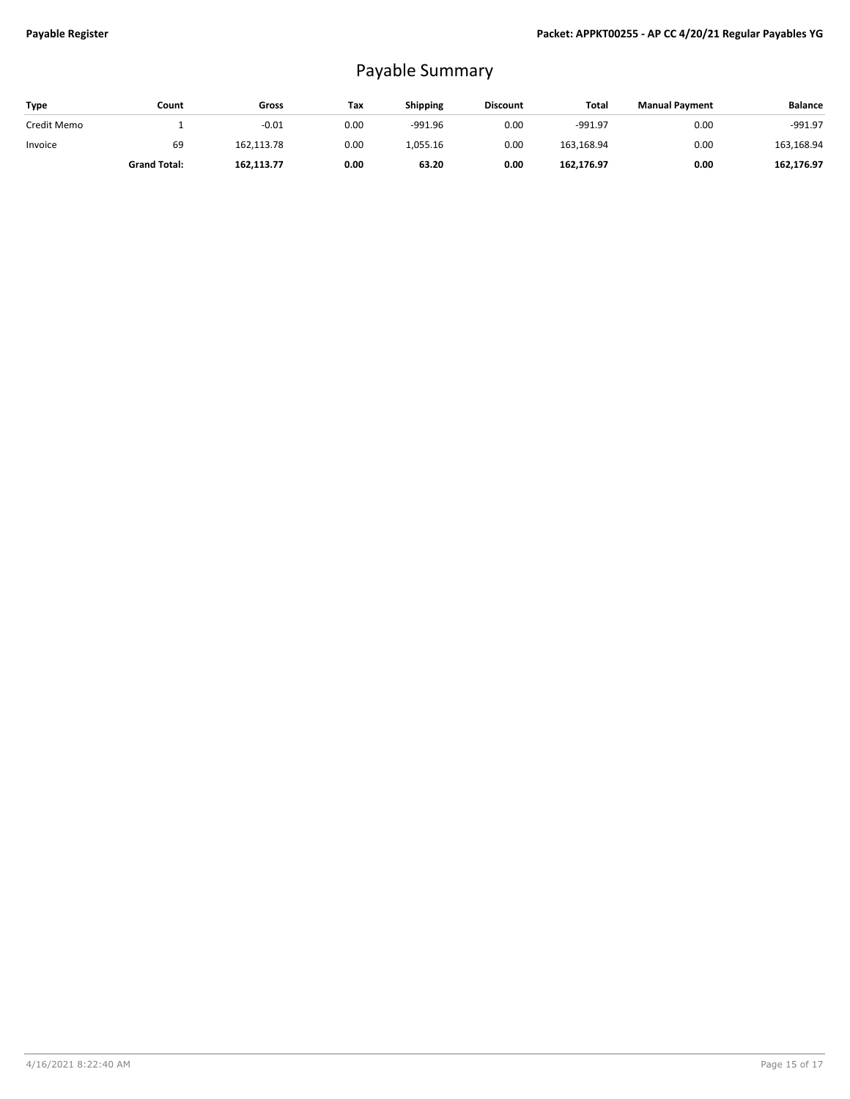## Payable Summary

| Type        | Count               | Gross      | Tax  | <b>Shipping</b> | <b>Discount</b> | Total      | <b>Manual Payment</b> | <b>Balance</b> |
|-------------|---------------------|------------|------|-----------------|-----------------|------------|-----------------------|----------------|
| Credit Memo |                     | $-0.01$    | 0.00 | $-991.96$       | 0.00            | -991.97    | 0.00                  | $-991.97$      |
| Invoice     | 69                  | 162,113.78 | 0.00 | 1,055.16        | 0.00            | 163,168.94 | 0.00                  | 163,168.94     |
|             | <b>Grand Total:</b> | 162.113.77 | 0.00 | 63.20           | 0.00            | 162,176.97 | 0.00                  | 162,176.97     |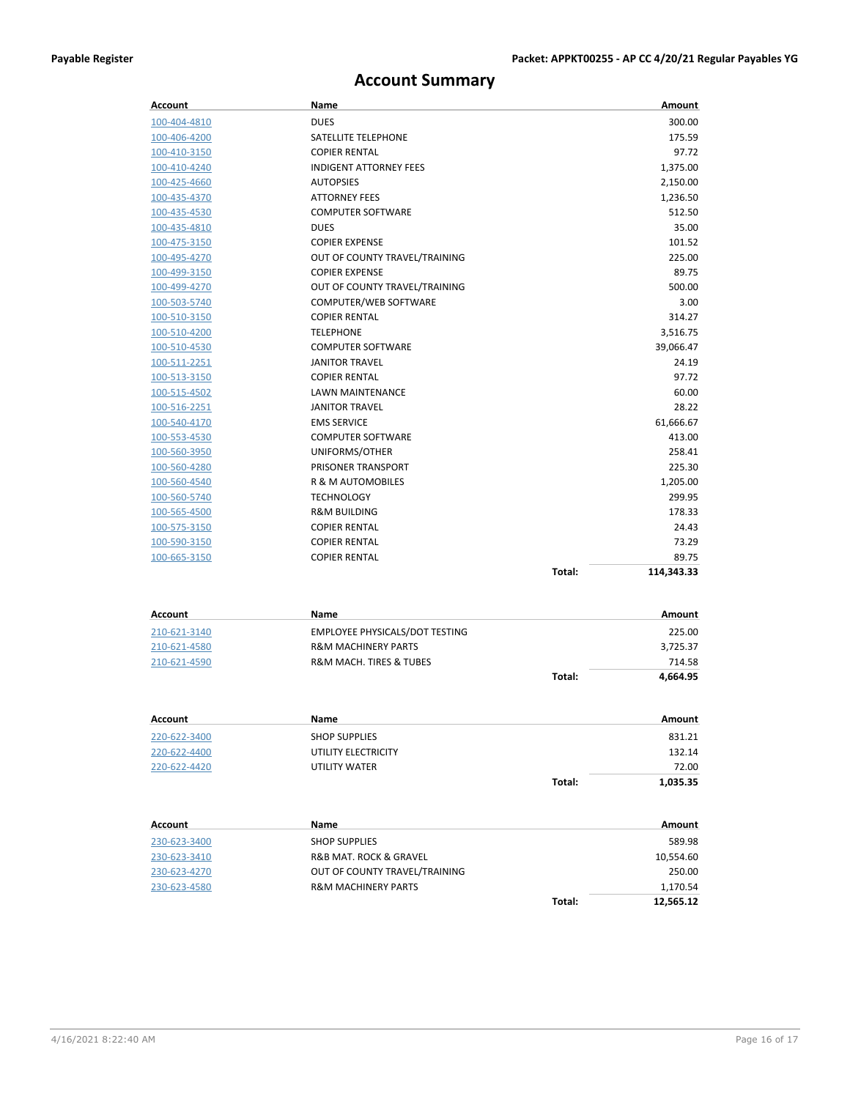## **Account Summary**

| <b>DUES</b><br>300.00<br>100-404-4810<br>SATELLITE TELEPHONE<br>175.59<br>100-406-4200<br><b>COPIER RENTAL</b><br>97.72<br>100-410-3150<br><b>INDIGENT ATTORNEY FEES</b><br>1,375.00<br>100-410-4240<br><b>AUTOPSIES</b><br>100-425-4660<br>2,150.00<br>100-435-4370<br><b>ATTORNEY FEES</b><br>1,236.50<br>512.50<br>100-435-4530<br><b>COMPUTER SOFTWARE</b><br><b>DUES</b><br>35.00<br>100-435-4810<br>101.52<br>100-475-3150<br><b>COPIER EXPENSE</b><br>OUT OF COUNTY TRAVEL/TRAINING<br>225.00<br>100-495-4270<br>89.75<br>100-499-3150<br><b>COPIER EXPENSE</b><br>500.00<br>100-499-4270<br>OUT OF COUNTY TRAVEL/TRAINING<br>COMPUTER/WEB SOFTWARE<br>100-503-5740<br>3.00<br><b>COPIER RENTAL</b><br>314.27<br>100-510-3150<br>100-510-4200<br><b>TELEPHONE</b><br>3,516.75<br><b>COMPUTER SOFTWARE</b><br>100-510-4530<br>39,066.47<br><b>JANITOR TRAVEL</b><br>24.19<br><u>100-511-2251</u><br>97.72<br>100-513-3150<br><b>COPIER RENTAL</b><br>LAWN MAINTENANCE<br>60.00<br>100-515-4502<br>28.22<br>100-516-2251<br><b>JANITOR TRAVEL</b><br><b>EMS SERVICE</b><br>61,666.67<br>100-540-4170<br><b>COMPUTER SOFTWARE</b><br>413.00<br>100-553-4530<br>UNIFORMS/OTHER<br>258.41<br>100-560-3950<br>PRISONER TRANSPORT<br>225.30<br>100-560-4280<br>R & M AUTOMOBILES<br>1,205.00<br>100-560-4540<br>299.95<br><b>TECHNOLOGY</b><br>100-560-5740<br>178.33<br>100-565-4500<br><b>R&amp;M BUILDING</b><br>24.43<br>100-575-3150<br><b>COPIER RENTAL</b><br><b>COPIER RENTAL</b><br>73.29<br>100-590-3150<br><b>COPIER RENTAL</b><br>89.75<br>100-665-3150<br>Total:<br>114,343.33<br><b>Account</b><br>Name<br>Amount<br>225.00<br>210-621-3140<br><b>EMPLOYEE PHYSICALS/DOT TESTING</b><br><b>R&amp;M MACHINERY PARTS</b><br>3,725.37<br>210-621-4580<br><b>R&amp;M MACH. TIRES &amp; TUBES</b><br>210-621-4590<br>714.58<br>Total:<br>4,664.95<br>Name<br><b>Account</b><br><u>Amount</u><br><b>SHOP SUPPLIES</b><br>831.21<br>220-622-3400<br>132.14<br>220-622-4400<br>UTILITY ELECTRICITY<br>72.00<br>220-622-4420<br><b>UTILITY WATER</b><br>Total:<br>1,035.35<br>Account<br>Name<br>Amount<br>230-623-3400<br><b>SHOP SUPPLIES</b><br>589.98<br>230-623-3410<br>R&B MAT. ROCK & GRAVEL<br>10,554.60<br>230-623-4270<br>OUT OF COUNTY TRAVEL/TRAINING<br>250.00<br>230-623-4580<br><b>R&amp;M MACHINERY PARTS</b><br>1,170.54<br>Total:<br>12,565.12 | <b>Account</b> | Name | Amount |
|-----------------------------------------------------------------------------------------------------------------------------------------------------------------------------------------------------------------------------------------------------------------------------------------------------------------------------------------------------------------------------------------------------------------------------------------------------------------------------------------------------------------------------------------------------------------------------------------------------------------------------------------------------------------------------------------------------------------------------------------------------------------------------------------------------------------------------------------------------------------------------------------------------------------------------------------------------------------------------------------------------------------------------------------------------------------------------------------------------------------------------------------------------------------------------------------------------------------------------------------------------------------------------------------------------------------------------------------------------------------------------------------------------------------------------------------------------------------------------------------------------------------------------------------------------------------------------------------------------------------------------------------------------------------------------------------------------------------------------------------------------------------------------------------------------------------------------------------------------------------------------------------------------------------------------------------------------------------------------------------------------------------------------------------------------------------------------------------------------------------------------------------------------------------------------------------------------------------------------------------------------------------------------------------------------------------------------------------------------------------------|----------------|------|--------|
|                                                                                                                                                                                                                                                                                                                                                                                                                                                                                                                                                                                                                                                                                                                                                                                                                                                                                                                                                                                                                                                                                                                                                                                                                                                                                                                                                                                                                                                                                                                                                                                                                                                                                                                                                                                                                                                                                                                                                                                                                                                                                                                                                                                                                                                                                                                                                                       |                |      |        |
|                                                                                                                                                                                                                                                                                                                                                                                                                                                                                                                                                                                                                                                                                                                                                                                                                                                                                                                                                                                                                                                                                                                                                                                                                                                                                                                                                                                                                                                                                                                                                                                                                                                                                                                                                                                                                                                                                                                                                                                                                                                                                                                                                                                                                                                                                                                                                                       |                |      |        |
|                                                                                                                                                                                                                                                                                                                                                                                                                                                                                                                                                                                                                                                                                                                                                                                                                                                                                                                                                                                                                                                                                                                                                                                                                                                                                                                                                                                                                                                                                                                                                                                                                                                                                                                                                                                                                                                                                                                                                                                                                                                                                                                                                                                                                                                                                                                                                                       |                |      |        |
|                                                                                                                                                                                                                                                                                                                                                                                                                                                                                                                                                                                                                                                                                                                                                                                                                                                                                                                                                                                                                                                                                                                                                                                                                                                                                                                                                                                                                                                                                                                                                                                                                                                                                                                                                                                                                                                                                                                                                                                                                                                                                                                                                                                                                                                                                                                                                                       |                |      |        |
|                                                                                                                                                                                                                                                                                                                                                                                                                                                                                                                                                                                                                                                                                                                                                                                                                                                                                                                                                                                                                                                                                                                                                                                                                                                                                                                                                                                                                                                                                                                                                                                                                                                                                                                                                                                                                                                                                                                                                                                                                                                                                                                                                                                                                                                                                                                                                                       |                |      |        |
|                                                                                                                                                                                                                                                                                                                                                                                                                                                                                                                                                                                                                                                                                                                                                                                                                                                                                                                                                                                                                                                                                                                                                                                                                                                                                                                                                                                                                                                                                                                                                                                                                                                                                                                                                                                                                                                                                                                                                                                                                                                                                                                                                                                                                                                                                                                                                                       |                |      |        |
|                                                                                                                                                                                                                                                                                                                                                                                                                                                                                                                                                                                                                                                                                                                                                                                                                                                                                                                                                                                                                                                                                                                                                                                                                                                                                                                                                                                                                                                                                                                                                                                                                                                                                                                                                                                                                                                                                                                                                                                                                                                                                                                                                                                                                                                                                                                                                                       |                |      |        |
|                                                                                                                                                                                                                                                                                                                                                                                                                                                                                                                                                                                                                                                                                                                                                                                                                                                                                                                                                                                                                                                                                                                                                                                                                                                                                                                                                                                                                                                                                                                                                                                                                                                                                                                                                                                                                                                                                                                                                                                                                                                                                                                                                                                                                                                                                                                                                                       |                |      |        |
|                                                                                                                                                                                                                                                                                                                                                                                                                                                                                                                                                                                                                                                                                                                                                                                                                                                                                                                                                                                                                                                                                                                                                                                                                                                                                                                                                                                                                                                                                                                                                                                                                                                                                                                                                                                                                                                                                                                                                                                                                                                                                                                                                                                                                                                                                                                                                                       |                |      |        |
|                                                                                                                                                                                                                                                                                                                                                                                                                                                                                                                                                                                                                                                                                                                                                                                                                                                                                                                                                                                                                                                                                                                                                                                                                                                                                                                                                                                                                                                                                                                                                                                                                                                                                                                                                                                                                                                                                                                                                                                                                                                                                                                                                                                                                                                                                                                                                                       |                |      |        |
|                                                                                                                                                                                                                                                                                                                                                                                                                                                                                                                                                                                                                                                                                                                                                                                                                                                                                                                                                                                                                                                                                                                                                                                                                                                                                                                                                                                                                                                                                                                                                                                                                                                                                                                                                                                                                                                                                                                                                                                                                                                                                                                                                                                                                                                                                                                                                                       |                |      |        |
|                                                                                                                                                                                                                                                                                                                                                                                                                                                                                                                                                                                                                                                                                                                                                                                                                                                                                                                                                                                                                                                                                                                                                                                                                                                                                                                                                                                                                                                                                                                                                                                                                                                                                                                                                                                                                                                                                                                                                                                                                                                                                                                                                                                                                                                                                                                                                                       |                |      |        |
|                                                                                                                                                                                                                                                                                                                                                                                                                                                                                                                                                                                                                                                                                                                                                                                                                                                                                                                                                                                                                                                                                                                                                                                                                                                                                                                                                                                                                                                                                                                                                                                                                                                                                                                                                                                                                                                                                                                                                                                                                                                                                                                                                                                                                                                                                                                                                                       |                |      |        |
|                                                                                                                                                                                                                                                                                                                                                                                                                                                                                                                                                                                                                                                                                                                                                                                                                                                                                                                                                                                                                                                                                                                                                                                                                                                                                                                                                                                                                                                                                                                                                                                                                                                                                                                                                                                                                                                                                                                                                                                                                                                                                                                                                                                                                                                                                                                                                                       |                |      |        |
|                                                                                                                                                                                                                                                                                                                                                                                                                                                                                                                                                                                                                                                                                                                                                                                                                                                                                                                                                                                                                                                                                                                                                                                                                                                                                                                                                                                                                                                                                                                                                                                                                                                                                                                                                                                                                                                                                                                                                                                                                                                                                                                                                                                                                                                                                                                                                                       |                |      |        |
|                                                                                                                                                                                                                                                                                                                                                                                                                                                                                                                                                                                                                                                                                                                                                                                                                                                                                                                                                                                                                                                                                                                                                                                                                                                                                                                                                                                                                                                                                                                                                                                                                                                                                                                                                                                                                                                                                                                                                                                                                                                                                                                                                                                                                                                                                                                                                                       |                |      |        |
|                                                                                                                                                                                                                                                                                                                                                                                                                                                                                                                                                                                                                                                                                                                                                                                                                                                                                                                                                                                                                                                                                                                                                                                                                                                                                                                                                                                                                                                                                                                                                                                                                                                                                                                                                                                                                                                                                                                                                                                                                                                                                                                                                                                                                                                                                                                                                                       |                |      |        |
|                                                                                                                                                                                                                                                                                                                                                                                                                                                                                                                                                                                                                                                                                                                                                                                                                                                                                                                                                                                                                                                                                                                                                                                                                                                                                                                                                                                                                                                                                                                                                                                                                                                                                                                                                                                                                                                                                                                                                                                                                                                                                                                                                                                                                                                                                                                                                                       |                |      |        |
|                                                                                                                                                                                                                                                                                                                                                                                                                                                                                                                                                                                                                                                                                                                                                                                                                                                                                                                                                                                                                                                                                                                                                                                                                                                                                                                                                                                                                                                                                                                                                                                                                                                                                                                                                                                                                                                                                                                                                                                                                                                                                                                                                                                                                                                                                                                                                                       |                |      |        |
|                                                                                                                                                                                                                                                                                                                                                                                                                                                                                                                                                                                                                                                                                                                                                                                                                                                                                                                                                                                                                                                                                                                                                                                                                                                                                                                                                                                                                                                                                                                                                                                                                                                                                                                                                                                                                                                                                                                                                                                                                                                                                                                                                                                                                                                                                                                                                                       |                |      |        |
|                                                                                                                                                                                                                                                                                                                                                                                                                                                                                                                                                                                                                                                                                                                                                                                                                                                                                                                                                                                                                                                                                                                                                                                                                                                                                                                                                                                                                                                                                                                                                                                                                                                                                                                                                                                                                                                                                                                                                                                                                                                                                                                                                                                                                                                                                                                                                                       |                |      |        |
|                                                                                                                                                                                                                                                                                                                                                                                                                                                                                                                                                                                                                                                                                                                                                                                                                                                                                                                                                                                                                                                                                                                                                                                                                                                                                                                                                                                                                                                                                                                                                                                                                                                                                                                                                                                                                                                                                                                                                                                                                                                                                                                                                                                                                                                                                                                                                                       |                |      |        |
|                                                                                                                                                                                                                                                                                                                                                                                                                                                                                                                                                                                                                                                                                                                                                                                                                                                                                                                                                                                                                                                                                                                                                                                                                                                                                                                                                                                                                                                                                                                                                                                                                                                                                                                                                                                                                                                                                                                                                                                                                                                                                                                                                                                                                                                                                                                                                                       |                |      |        |
|                                                                                                                                                                                                                                                                                                                                                                                                                                                                                                                                                                                                                                                                                                                                                                                                                                                                                                                                                                                                                                                                                                                                                                                                                                                                                                                                                                                                                                                                                                                                                                                                                                                                                                                                                                                                                                                                                                                                                                                                                                                                                                                                                                                                                                                                                                                                                                       |                |      |        |
|                                                                                                                                                                                                                                                                                                                                                                                                                                                                                                                                                                                                                                                                                                                                                                                                                                                                                                                                                                                                                                                                                                                                                                                                                                                                                                                                                                                                                                                                                                                                                                                                                                                                                                                                                                                                                                                                                                                                                                                                                                                                                                                                                                                                                                                                                                                                                                       |                |      |        |
|                                                                                                                                                                                                                                                                                                                                                                                                                                                                                                                                                                                                                                                                                                                                                                                                                                                                                                                                                                                                                                                                                                                                                                                                                                                                                                                                                                                                                                                                                                                                                                                                                                                                                                                                                                                                                                                                                                                                                                                                                                                                                                                                                                                                                                                                                                                                                                       |                |      |        |
|                                                                                                                                                                                                                                                                                                                                                                                                                                                                                                                                                                                                                                                                                                                                                                                                                                                                                                                                                                                                                                                                                                                                                                                                                                                                                                                                                                                                                                                                                                                                                                                                                                                                                                                                                                                                                                                                                                                                                                                                                                                                                                                                                                                                                                                                                                                                                                       |                |      |        |
|                                                                                                                                                                                                                                                                                                                                                                                                                                                                                                                                                                                                                                                                                                                                                                                                                                                                                                                                                                                                                                                                                                                                                                                                                                                                                                                                                                                                                                                                                                                                                                                                                                                                                                                                                                                                                                                                                                                                                                                                                                                                                                                                                                                                                                                                                                                                                                       |                |      |        |
|                                                                                                                                                                                                                                                                                                                                                                                                                                                                                                                                                                                                                                                                                                                                                                                                                                                                                                                                                                                                                                                                                                                                                                                                                                                                                                                                                                                                                                                                                                                                                                                                                                                                                                                                                                                                                                                                                                                                                                                                                                                                                                                                                                                                                                                                                                                                                                       |                |      |        |
|                                                                                                                                                                                                                                                                                                                                                                                                                                                                                                                                                                                                                                                                                                                                                                                                                                                                                                                                                                                                                                                                                                                                                                                                                                                                                                                                                                                                                                                                                                                                                                                                                                                                                                                                                                                                                                                                                                                                                                                                                                                                                                                                                                                                                                                                                                                                                                       |                |      |        |
|                                                                                                                                                                                                                                                                                                                                                                                                                                                                                                                                                                                                                                                                                                                                                                                                                                                                                                                                                                                                                                                                                                                                                                                                                                                                                                                                                                                                                                                                                                                                                                                                                                                                                                                                                                                                                                                                                                                                                                                                                                                                                                                                                                                                                                                                                                                                                                       |                |      |        |
|                                                                                                                                                                                                                                                                                                                                                                                                                                                                                                                                                                                                                                                                                                                                                                                                                                                                                                                                                                                                                                                                                                                                                                                                                                                                                                                                                                                                                                                                                                                                                                                                                                                                                                                                                                                                                                                                                                                                                                                                                                                                                                                                                                                                                                                                                                                                                                       |                |      |        |
|                                                                                                                                                                                                                                                                                                                                                                                                                                                                                                                                                                                                                                                                                                                                                                                                                                                                                                                                                                                                                                                                                                                                                                                                                                                                                                                                                                                                                                                                                                                                                                                                                                                                                                                                                                                                                                                                                                                                                                                                                                                                                                                                                                                                                                                                                                                                                                       |                |      |        |
|                                                                                                                                                                                                                                                                                                                                                                                                                                                                                                                                                                                                                                                                                                                                                                                                                                                                                                                                                                                                                                                                                                                                                                                                                                                                                                                                                                                                                                                                                                                                                                                                                                                                                                                                                                                                                                                                                                                                                                                                                                                                                                                                                                                                                                                                                                                                                                       |                |      |        |
|                                                                                                                                                                                                                                                                                                                                                                                                                                                                                                                                                                                                                                                                                                                                                                                                                                                                                                                                                                                                                                                                                                                                                                                                                                                                                                                                                                                                                                                                                                                                                                                                                                                                                                                                                                                                                                                                                                                                                                                                                                                                                                                                                                                                                                                                                                                                                                       |                |      |        |
|                                                                                                                                                                                                                                                                                                                                                                                                                                                                                                                                                                                                                                                                                                                                                                                                                                                                                                                                                                                                                                                                                                                                                                                                                                                                                                                                                                                                                                                                                                                                                                                                                                                                                                                                                                                                                                                                                                                                                                                                                                                                                                                                                                                                                                                                                                                                                                       |                |      |        |
|                                                                                                                                                                                                                                                                                                                                                                                                                                                                                                                                                                                                                                                                                                                                                                                                                                                                                                                                                                                                                                                                                                                                                                                                                                                                                                                                                                                                                                                                                                                                                                                                                                                                                                                                                                                                                                                                                                                                                                                                                                                                                                                                                                                                                                                                                                                                                                       |                |      |        |
|                                                                                                                                                                                                                                                                                                                                                                                                                                                                                                                                                                                                                                                                                                                                                                                                                                                                                                                                                                                                                                                                                                                                                                                                                                                                                                                                                                                                                                                                                                                                                                                                                                                                                                                                                                                                                                                                                                                                                                                                                                                                                                                                                                                                                                                                                                                                                                       |                |      |        |
|                                                                                                                                                                                                                                                                                                                                                                                                                                                                                                                                                                                                                                                                                                                                                                                                                                                                                                                                                                                                                                                                                                                                                                                                                                                                                                                                                                                                                                                                                                                                                                                                                                                                                                                                                                                                                                                                                                                                                                                                                                                                                                                                                                                                                                                                                                                                                                       |                |      |        |
|                                                                                                                                                                                                                                                                                                                                                                                                                                                                                                                                                                                                                                                                                                                                                                                                                                                                                                                                                                                                                                                                                                                                                                                                                                                                                                                                                                                                                                                                                                                                                                                                                                                                                                                                                                                                                                                                                                                                                                                                                                                                                                                                                                                                                                                                                                                                                                       |                |      |        |
|                                                                                                                                                                                                                                                                                                                                                                                                                                                                                                                                                                                                                                                                                                                                                                                                                                                                                                                                                                                                                                                                                                                                                                                                                                                                                                                                                                                                                                                                                                                                                                                                                                                                                                                                                                                                                                                                                                                                                                                                                                                                                                                                                                                                                                                                                                                                                                       |                |      |        |
|                                                                                                                                                                                                                                                                                                                                                                                                                                                                                                                                                                                                                                                                                                                                                                                                                                                                                                                                                                                                                                                                                                                                                                                                                                                                                                                                                                                                                                                                                                                                                                                                                                                                                                                                                                                                                                                                                                                                                                                                                                                                                                                                                                                                                                                                                                                                                                       |                |      |        |
|                                                                                                                                                                                                                                                                                                                                                                                                                                                                                                                                                                                                                                                                                                                                                                                                                                                                                                                                                                                                                                                                                                                                                                                                                                                                                                                                                                                                                                                                                                                                                                                                                                                                                                                                                                                                                                                                                                                                                                                                                                                                                                                                                                                                                                                                                                                                                                       |                |      |        |
|                                                                                                                                                                                                                                                                                                                                                                                                                                                                                                                                                                                                                                                                                                                                                                                                                                                                                                                                                                                                                                                                                                                                                                                                                                                                                                                                                                                                                                                                                                                                                                                                                                                                                                                                                                                                                                                                                                                                                                                                                                                                                                                                                                                                                                                                                                                                                                       |                |      |        |
|                                                                                                                                                                                                                                                                                                                                                                                                                                                                                                                                                                                                                                                                                                                                                                                                                                                                                                                                                                                                                                                                                                                                                                                                                                                                                                                                                                                                                                                                                                                                                                                                                                                                                                                                                                                                                                                                                                                                                                                                                                                                                                                                                                                                                                                                                                                                                                       |                |      |        |
|                                                                                                                                                                                                                                                                                                                                                                                                                                                                                                                                                                                                                                                                                                                                                                                                                                                                                                                                                                                                                                                                                                                                                                                                                                                                                                                                                                                                                                                                                                                                                                                                                                                                                                                                                                                                                                                                                                                                                                                                                                                                                                                                                                                                                                                                                                                                                                       |                |      |        |
|                                                                                                                                                                                                                                                                                                                                                                                                                                                                                                                                                                                                                                                                                                                                                                                                                                                                                                                                                                                                                                                                                                                                                                                                                                                                                                                                                                                                                                                                                                                                                                                                                                                                                                                                                                                                                                                                                                                                                                                                                                                                                                                                                                                                                                                                                                                                                                       |                |      |        |
|                                                                                                                                                                                                                                                                                                                                                                                                                                                                                                                                                                                                                                                                                                                                                                                                                                                                                                                                                                                                                                                                                                                                                                                                                                                                                                                                                                                                                                                                                                                                                                                                                                                                                                                                                                                                                                                                                                                                                                                                                                                                                                                                                                                                                                                                                                                                                                       |                |      |        |
|                                                                                                                                                                                                                                                                                                                                                                                                                                                                                                                                                                                                                                                                                                                                                                                                                                                                                                                                                                                                                                                                                                                                                                                                                                                                                                                                                                                                                                                                                                                                                                                                                                                                                                                                                                                                                                                                                                                                                                                                                                                                                                                                                                                                                                                                                                                                                                       |                |      |        |
|                                                                                                                                                                                                                                                                                                                                                                                                                                                                                                                                                                                                                                                                                                                                                                                                                                                                                                                                                                                                                                                                                                                                                                                                                                                                                                                                                                                                                                                                                                                                                                                                                                                                                                                                                                                                                                                                                                                                                                                                                                                                                                                                                                                                                                                                                                                                                                       |                |      |        |